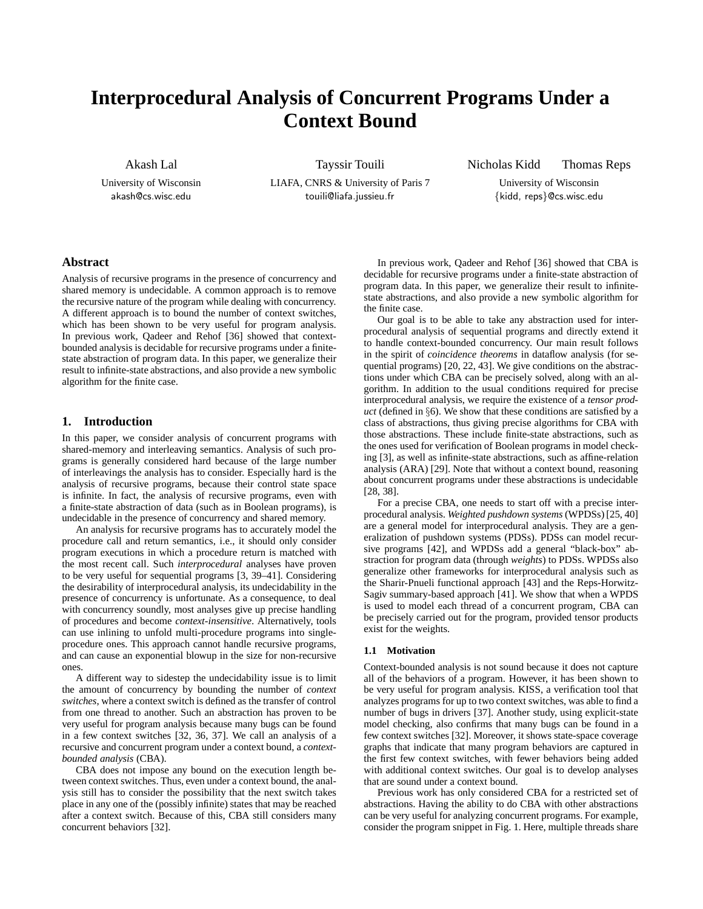# **Interprocedural Analysis of Concurrent Programs Under a Context Bound**

Akash Lal

University of Wisconsin akash@cs.wisc.edu

Tayssir Touili LIAFA, CNRS & University of Paris 7 touili@liafa.jussieu.fr

Nicholas Kidd Thomas Reps

University of Wisconsin {kidd, reps}@cs.wisc.edu

# **Abstract**

Analysis of recursive programs in the presence of concurrency and shared memory is undecidable. A common approach is to remove the recursive nature of the program while dealing with concurrency. A different approach is to bound the number of context switches, which has been shown to be very useful for program analysis. In previous work, Qadeer and Rehof [36] showed that contextbounded analysis is decidable for recursive programs under a finitestate abstraction of program data. In this paper, we generalize their result to infinite-state abstractions, and also provide a new symbolic algorithm for the finite case.

# **1. Introduction**

In this paper, we consider analysis of concurrent programs with shared-memory and interleaving semantics. Analysis of such programs is generally considered hard because of the large number of interleavings the analysis has to consider. Especially hard is the analysis of recursive programs, because their control state space is infinite. In fact, the analysis of recursive programs, even with a finite-state abstraction of data (such as in Boolean programs), is undecidable in the presence of concurrency and shared memory.

An analysis for recursive programs has to accurately model the procedure call and return semantics, i.e., it should only consider program executions in which a procedure return is matched with the most recent call. Such *interprocedural* analyses have proven to be very useful for sequential programs [3, 39–41]. Considering the desirability of interprocedural analysis, its undecidability in the presence of concurrency is unfortunate. As a consequence, to deal with concurrency soundly, most analyses give up precise handling of procedures and become *context-insensitive*. Alternatively, tools can use inlining to unfold multi-procedure programs into singleprocedure ones. This approach cannot handle recursive programs, and can cause an exponential blowup in the size for non-recursive ones.

A different way to sidestep the undecidability issue is to limit the amount of concurrency by bounding the number of *context switches*, where a context switch is defined as the transfer of control from one thread to another. Such an abstraction has proven to be very useful for program analysis because many bugs can be found in a few context switches [32, 36, 37]. We call an analysis of a recursive and concurrent program under a context bound, a *contextbounded analysis* (CBA).

CBA does not impose any bound on the execution length between context switches. Thus, even under a context bound, the analysis still has to consider the possibility that the next switch takes place in any one of the (possibly infinite) states that may be reached after a context switch. Because of this, CBA still considers many concurrent behaviors [32].

In previous work, Qadeer and Rehof [36] showed that CBA is decidable for recursive programs under a finite-state abstraction of program data. In this paper, we generalize their result to infinitestate abstractions, and also provide a new symbolic algorithm for the finite case.

Our goal is to be able to take any abstraction used for interprocedural analysis of sequential programs and directly extend it to handle context-bounded concurrency. Our main result follows in the spirit of *coincidence theorems* in dataflow analysis (for sequential programs) [20, 22, 43]. We give conditions on the abstractions under which CBA can be precisely solved, along with an algorithm. In addition to the usual conditions required for precise interprocedural analysis, we require the existence of a *tensor product* (defined in §6). We show that these conditions are satisfied by a class of abstractions, thus giving precise algorithms for CBA with those abstractions. These include finite-state abstractions, such as the ones used for verification of Boolean programs in model checking [3], as well as infinite-state abstractions, such as affine-relation analysis (ARA) [29]. Note that without a context bound, reasoning about concurrent programs under these abstractions is undecidable [28, 38].

For a precise CBA, one needs to start off with a precise interprocedural analysis. *Weighted pushdown systems* (WPDSs) [25, 40] are a general model for interprocedural analysis. They are a generalization of pushdown systems (PDSs). PDSs can model recursive programs [42], and WPDSs add a general "black-box" abstraction for program data (through *weights*) to PDSs. WPDSs also generalize other frameworks for interprocedural analysis such as the Sharir-Pnueli functional approach [43] and the Reps-Horwitz-Sagiv summary-based approach [41]. We show that when a WPDS is used to model each thread of a concurrent program, CBA can be precisely carried out for the program, provided tensor products exist for the weights.

# **1.1 Motivation**

Context-bounded analysis is not sound because it does not capture all of the behaviors of a program. However, it has been shown to be very useful for program analysis. KISS, a verification tool that analyzes programs for up to two context switches, was able to find a number of bugs in drivers [37]. Another study, using explicit-state model checking, also confirms that many bugs can be found in a few context switches [32]. Moreover, it shows state-space coverage graphs that indicate that many program behaviors are captured in the first few context switches, with fewer behaviors being added with additional context switches. Our goal is to develop analyses that are sound under a context bound.

Previous work has only considered CBA for a restricted set of abstractions. Having the ability to do CBA with other abstractions can be very useful for analyzing concurrent programs. For example, consider the program snippet in Fig. 1. Here, multiple threads share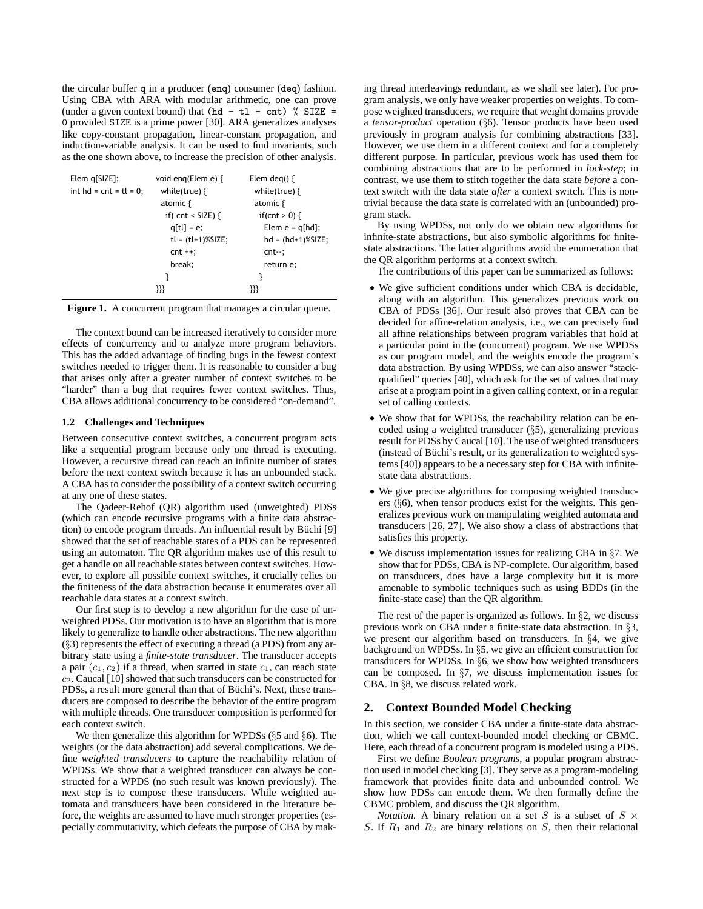the circular buffer q in a producer (enq) consumer (deq) fashion. Using CBA with ARA with modular arithmetic, one can prove (under a given context bound) that (hd - tl - cnt) % SIZE = 0 provided SIZE is a prime power [30]. ARA generalizes analyses like copy-constant propagation, linear-constant propagation, and induction-variable analysis. It can be used to find invariants, such as the one shown above, to increase the precision of other analysis.

| $Elem$ q[SIZE];           | void eng(Elem e) $\{$ | Elem deg() $\{$       |  |  |
|---------------------------|-----------------------|-----------------------|--|--|
| int $hd = cnt = tl = 0$ ; | while(true) $\{$      | while(true) $\{$      |  |  |
|                           | atomic $\{$           | atomic $\{$           |  |  |
|                           | if( $cnt <$ SIZE) {   | if(cnt > 0) {         |  |  |
|                           | $q[t] = e;$           | Elem $e = q[hd]$ ;    |  |  |
|                           | $tl = (tl+1)\% SIZE;$ | $hd = (hd+1)\%$ SIZE; |  |  |
|                           | $cnt + +;$            | cnt--;                |  |  |
|                           | break;                | return e;             |  |  |
|                           | }                     | ₹                     |  |  |
|                           | 333                   | 333                   |  |  |

Figure 1. A concurrent program that manages a circular queue.

The context bound can be increased iteratively to consider more effects of concurrency and to analyze more program behaviors. This has the added advantage of finding bugs in the fewest context switches needed to trigger them. It is reasonable to consider a bug that arises only after a greater number of context switches to be "harder" than a bug that requires fewer context switches. Thus, CBA allows additional concurrency to be considered "on-demand".

## **1.2 Challenges and Techniques**

Between consecutive context switches, a concurrent program acts like a sequential program because only one thread is executing. However, a recursive thread can reach an infinite number of states before the next context switch because it has an unbounded stack. A CBA has to consider the possibility of a context switch occurring at any one of these states.

The Qadeer-Rehof (QR) algorithm used (unweighted) PDSs (which can encode recursive programs with a finite data abstraction) to encode program threads. An influential result by Büchi [9] showed that the set of reachable states of a PDS can be represented using an automaton. The QR algorithm makes use of this result to get a handle on all reachable states between context switches. However, to explore all possible context switches, it crucially relies on the finiteness of the data abstraction because it enumerates over all reachable data states at a context switch.

Our first step is to develop a new algorithm for the case of unweighted PDSs. Our motivation is to have an algorithm that is more likely to generalize to handle other abstractions. The new algorithm (§3) represents the effect of executing a thread (a PDS) from any arbitrary state using a *finite-state transducer*. The transducer accepts a pair  $(c_1, c_2)$  if a thread, when started in state  $c_1$ , can reach state  $c_2$ . Caucal [10] showed that such transducers can be constructed for PDSs, a result more general than that of Büchi's. Next, these transducers are composed to describe the behavior of the entire program with multiple threads. One transducer composition is performed for each context switch.

We then generalize this algorithm for WPDSs (§5 and §6). The weights (or the data abstraction) add several complications. We define *weighted transducers* to capture the reachability relation of WPDSs. We show that a weighted transducer can always be constructed for a WPDS (no such result was known previously). The next step is to compose these transducers. While weighted automata and transducers have been considered in the literature before, the weights are assumed to have much stronger properties (especially commutativity, which defeats the purpose of CBA by making thread interleavings redundant, as we shall see later). For program analysis, we only have weaker properties on weights. To compose weighted transducers, we require that weight domains provide a *tensor-product* operation (§6). Tensor products have been used previously in program analysis for combining abstractions [33]. However, we use them in a different context and for a completely different purpose. In particular, previous work has used them for combining abstractions that are to be performed in *lock-step*; in contrast, we use them to stitch together the data state *before* a context switch with the data state *after* a context switch. This is nontrivial because the data state is correlated with an (unbounded) program stack.

By using WPDSs, not only do we obtain new algorithms for infinite-state abstractions, but also symbolic algorithms for finitestate abstractions. The latter algorithms avoid the enumeration that the QR algorithm performs at a context switch.

The contributions of this paper can be summarized as follows:

- We give sufficient conditions under which CBA is decidable, along with an algorithm. This generalizes previous work on CBA of PDSs [36]. Our result also proves that CBA can be decided for affine-relation analysis, i.e., we can precisely find all affine relationships between program variables that hold at a particular point in the (concurrent) program. We use WPDSs as our program model, and the weights encode the program's data abstraction. By using WPDSs, we can also answer "stackqualified" queries [40], which ask for the set of values that may arise at a program point in a given calling context, or in a regular set of calling contexts.
- We show that for WPDSs, the reachability relation can be encoded using a weighted transducer (§5), generalizing previous result for PDSs by Caucal [10]. The use of weighted transducers (instead of Büchi's result, or its generalization to weighted systems [40]) appears to be a necessary step for CBA with infinitestate data abstractions.
- We give precise algorithms for composing weighted transducers  $(\S6)$ , when tensor products exist for the weights. This generalizes previous work on manipulating weighted automata and transducers [26, 27]. We also show a class of abstractions that satisfies this property.
- We discuss implementation issues for realizing CBA in §7. We show that for PDSs, CBA is NP-complete. Our algorithm, based on transducers, does have a large complexity but it is more amenable to symbolic techniques such as using BDDs (in the finite-state case) than the QR algorithm.

The rest of the paper is organized as follows. In  $\S$ 2, we discuss previous work on CBA under a finite-state data abstraction. In §3, we present our algorithm based on transducers. In §4, we give background on WPDSs. In §5, we give an efficient construction for transducers for WPDSs. In §6, we show how weighted transducers can be composed. In §7, we discuss implementation issues for CBA. In §8, we discuss related work.

# **2. Context Bounded Model Checking**

In this section, we consider CBA under a finite-state data abstraction, which we call context-bounded model checking or CBMC. Here, each thread of a concurrent program is modeled using a PDS.

First we define *Boolean programs*, a popular program abstraction used in model checking [3]. They serve as a program-modeling framework that provides finite data and unbounded control. We show how PDSs can encode them. We then formally define the CBMC problem, and discuss the QR algorithm.

*Notation.* A binary relation on a set S is a subset of  $S \times$ S. If  $R_1$  and  $R_2$  are binary relations on S, then their relational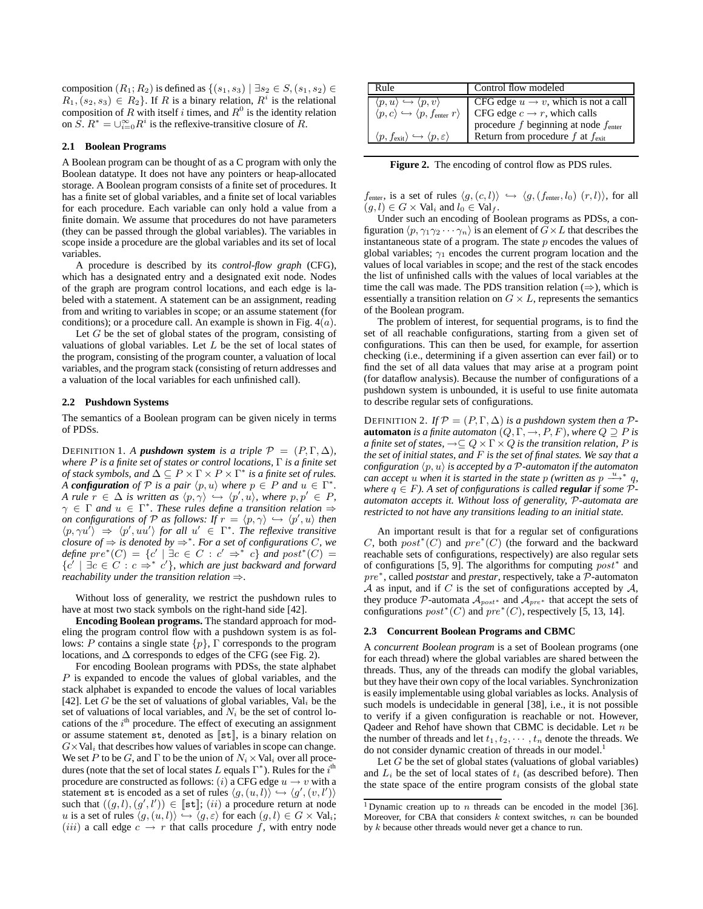composition  $(R_1; R_2)$  is defined as  $\{(s_1, s_3) \mid \exists s_2 \in S, (s_1, s_2) \in$  $R_1, (s_2, s_3) \in R_2$ . If R is a binary relation,  $R<sup>i</sup>$  is the relational composition of R with itself i times, and  $R^0$  is the identity relation on  $\overline{S}$ .  $R^* = \bigcup_{i=0}^{\infty} R^i$  is the reflexive-transitive closure of R.

# **2.1 Boolean Programs**

A Boolean program can be thought of as a C program with only the Boolean datatype. It does not have any pointers or heap-allocated storage. A Boolean program consists of a finite set of procedures. It has a finite set of global variables, and a finite set of local variables for each procedure. Each variable can only hold a value from a finite domain. We assume that procedures do not have parameters (they can be passed through the global variables). The variables in scope inside a procedure are the global variables and its set of local variables.

A procedure is described by its *control-flow graph* (CFG), which has a designated entry and a designated exit node. Nodes of the graph are program control locations, and each edge is labeled with a statement. A statement can be an assignment, reading from and writing to variables in scope; or an assume statement (for conditions); or a procedure call. An example is shown in Fig.  $4(a)$ .

Let  $G$  be the set of global states of the program, consisting of valuations of global variables. Let  $L$  be the set of local states of the program, consisting of the program counter, a valuation of local variables, and the program stack (consisting of return addresses and a valuation of the local variables for each unfinished call).

## **2.2 Pushdown Systems**

The semantics of a Boolean program can be given nicely in terms of PDSs.

DEFINITION 1. A *pushdown system is a triple*  $\mathcal{P} = (P, \Gamma, \Delta)$ *, where* P *is a finite set of states or control locations,* Γ *is a finite set of stack symbols, and*  $\Delta \subseteq P \times \Gamma \times P \times \Gamma^*$  *is a finite set of rules. A configuration* of  $P$  is a pair  $\langle p, u \rangle$  where  $p \in P$  and  $u \in \Gamma^*$ . *A* rule  $r \in \Delta$  *is written as*  $\langle p, \gamma \rangle \hookrightarrow \langle p', u \rangle$ , where  $p, p' \in P$ ,  $\gamma \in \Gamma$  and  $u \in \Gamma^*$ . These rules define a transition relation  $\Rightarrow$ *on configurations of*  $P$  *as follows: If*  $r = \langle p, \gamma \rangle \hookrightarrow \langle p', u \rangle$  then  $\langle p, \gamma u' \rangle \Rightarrow \langle p', uu' \rangle$  for all  $u' \in \Gamma^*$ . The reflexive transitive *closure of* ⇒ *is denoted by* ⇒<sup>∗</sup> *. For a set of configurations* C*, we*  $define\ pre^*(C) = \{c' \mid \exists c \in C : c' \Rightarrow^* c\} \ and\ post^*(C) =$  $\{c' \mid \exists c \in C : c \Rightarrow^* c' \}$ , which are just backward and forward *reachability under the transition relation* ⇒*.*

Without loss of generality, we restrict the pushdown rules to have at most two stack symbols on the right-hand side [42].

**Encoding Boolean programs.** The standard approach for modeling the program control flow with a pushdown system is as follows: P contains a single state  $\{p\}$ ,  $\Gamma$  corresponds to the program locations, and  $\Delta$  corresponds to edges of the CFG (see Fig. 2).

For encoding Boolean programs with PDSs, the state alphabet P is expanded to encode the values of global variables, and the stack alphabet is expanded to encode the values of local variables [42]. Let G be the set of valuations of global variables,  $Val_i$  be the set of valuations of local variables, and  $N_i$  be the set of control locations of the  $i<sup>th</sup>$  procedure. The effect of executing an assignment or assume statement  $st$ , denoted as  $[st]$ , is a binary relation on  $G\times\mathrm{Val}_i$  that describes how values of variables in scope can change. We set P to be G, and  $\Gamma$  to be the union of  $N_i \times \text{Val}_i$  over all procedures (note that the set of local states L equals  $\Gamma^*$ ). Rules for the  $i^{\text{th}}$ procedure are constructed as follows: (i) a CFG edge  $u \rightarrow v$  with a statement st is encoded as a set of rules  $\langle g, (u, l) \rangle \leftrightarrow \langle g', (v, l') \rangle$ such that  $((g, l), (g', l')) \in [\![ \texttt{st} ]\!]$ ;  $(ii)$  a procedure return at node u is a set of rules  $\langle g, (u, l) \rangle \hookrightarrow \langle g, \varepsilon \rangle$  for each  $(g, l) \in G \times \text{Val}_i$ ; (*iii*) a call edge  $c \rightarrow r$  that calls procedure f, with entry node

| Rule                                                                                                                                                                                                                             | Control flow modeled                                                                                                                                                                              |
|----------------------------------------------------------------------------------------------------------------------------------------------------------------------------------------------------------------------------------|---------------------------------------------------------------------------------------------------------------------------------------------------------------------------------------------------|
| $\langle p, u \rangle \hookrightarrow \langle p, v \rangle$<br>$\langle p, c \rangle \hookrightarrow \langle p, f_{\text{enter}} \rangle$<br>$\langle p, f_{\text{exit}} \rangle \hookrightarrow \langle p, \varepsilon \rangle$ | CFG edge $u \rightarrow v$ , which is not a call<br>CFG edge $c \rightarrow r$ , which calls<br>procedure $f$ beginning at node $f_{\rm enter}$<br>Return from procedure $f$ at $f_{\text{exit}}$ |

Figure 2. The encoding of control flow as PDS rules.

 $f_{\text{enter}}$ , is a set of rules  $\langle g, (c, l) \rangle \hookrightarrow \langle g, (f_{\text{enter}}, l_0) (r, l) \rangle$ , for all  $(g, l) \in G \times \text{Val}_i$  and  $l_0 \in \text{Val}_f$ .

Under such an encoding of Boolean programs as PDSs, a configuration  $\langle p, \gamma_1 \gamma_2 \cdots \gamma_n \rangle$  is an element of  $\ddot{G} \times L$  that describes the instantaneous state of a program. The state  $p$  encodes the values of global variables;  $\gamma_1$  encodes the current program location and the values of local variables in scope; and the rest of the stack encodes the list of unfinished calls with the values of local variables at the time the call was made. The PDS transition relation  $(\Rightarrow)$ , which is essentially a transition relation on  $G \times L$ , represents the semantics of the Boolean program.

The problem of interest, for sequential programs, is to find the set of all reachable configurations, starting from a given set of configurations. This can then be used, for example, for assertion checking (i.e., determining if a given assertion can ever fail) or to find the set of all data values that may arise at a program point (for dataflow analysis). Because the number of configurations of a pushdown system is unbounded, it is useful to use finite automata to describe regular sets of configurations.

DEFINITION 2. If  $\mathcal{P} = (P, \Gamma, \Delta)$  *is a pushdown system then a*  $\mathcal{P}$ **automaton** *is a finite automaton*  $(Q, \Gamma, \rightarrow, P, F)$ *, where*  $Q \supseteq P$  *is a finite set of states,*  $\rightarrow \subseteq Q \times \Gamma \times Q$  *is the transition relation, P is the set of initial states, and* F *is the set of final states. We say that a configuration*  $\langle p, u \rangle$  *is accepted by a*  $P$ *-automaton if the automaton*  $\alpha$  *can accept* u when it is started in the state p (written as p  $\overset{u}{\longrightarrow}^* q$ , *where*  $q \in F$ *). A set of configurations is called <i>regular* if some  $P$ *automaton accepts it. Without loss of generality,* P*-automata are restricted to not have any transitions leading to an initial state.*

An important result is that for a regular set of configurations C, both  $post^*(C)$  and  $pre^*(C)$  (the forward and the backward reachable sets of configurations, respectively) are also regular sets of configurations [5, 9]. The algorithms for computing  $post^*$  and pre<sup>∗</sup> , called *poststar* and *prestar*, respectively, take a P-automaton  $A$  as input, and if  $C$  is the set of configurations accepted by  $A$ , they produce P-automata  $A_{post*}$  and  $A_{pre*}$  that accept the sets of configurations  $post^*(C)$  and  $pre^*(C)$ , respectively [5, 13, 14].

#### **2.3 Concurrent Boolean Programs and CBMC**

A *concurrent Boolean program* is a set of Boolean programs (one for each thread) where the global variables are shared between the threads. Thus, any of the threads can modify the global variables, but they have their own copy of the local variables. Synchronization is easily implementable using global variables as locks. Analysis of such models is undecidable in general [38], i.e., it is not possible to verify if a given configuration is reachable or not. However, Qadeer and Rehof have shown that CBMC is decidable. Let  $n$  be the number of threads and let  $t_1, t_2, \cdots, t_n$  denote the threads. We do not consider dynamic creation of threads in our model.<sup>1</sup>

Let  $G$  be the set of global states (valuations of global variables) and  $L_i$  be the set of local states of  $t_i$  (as described before). Then the state space of the entire program consists of the global state

<sup>&</sup>lt;sup>1</sup> Dynamic creation up to *n* threads can be encoded in the model [36]. Moreover, for CBA that considers  $k$  context switches,  $n$  can be bounded by k because other threads would never get a chance to run.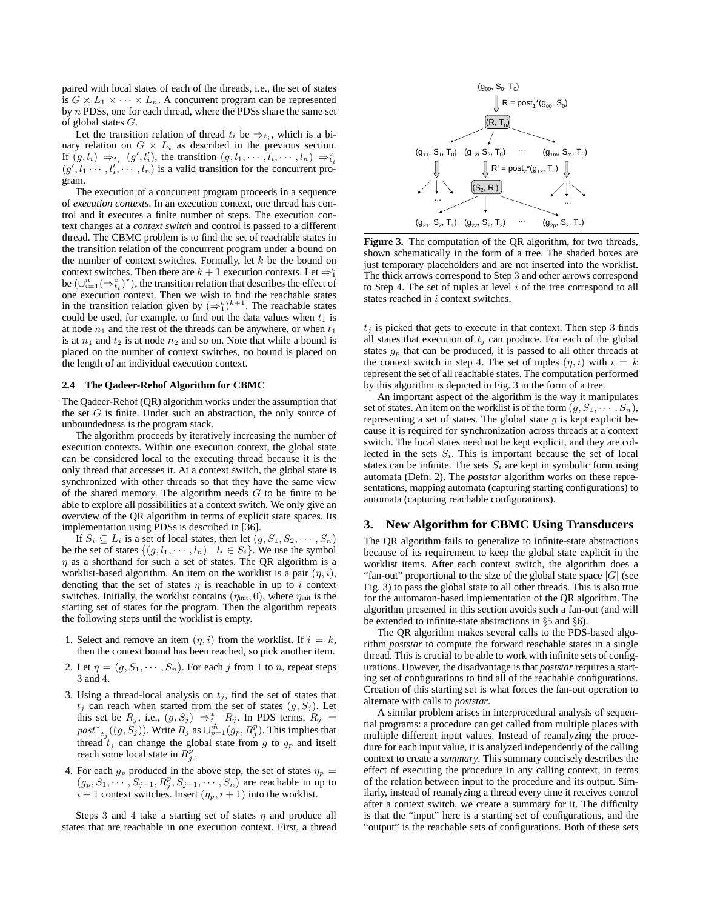paired with local states of each of the threads, i.e., the set of states is  $G \times L_1 \times \cdots \times L_n$ . A concurrent program can be represented by n PDSs, one for each thread, where the PDSs share the same set of global states G.

Let the transition relation of thread  $t_i$  be  $\Rightarrow t_i$ , which is a binary relation on  $G \times L_i$  as described in the previous section. If  $(g, l_i) \Rightarrow_{t_i} (g', l'_i)$ , the transition  $(g, l_1, \dots, l_i, \dots, l_n) \Rightarrow_{t_i}^c$  $(g', l_1 \cdots, l'_i, \cdots, l_n)$  is a valid transition for the concurrent program.

The execution of a concurrent program proceeds in a sequence of *execution contexts*. In an execution context, one thread has control and it executes a finite number of steps. The execution context changes at a *context switch* and control is passed to a different thread. The CBMC problem is to find the set of reachable states in the transition relation of the concurrent program under a bound on the number of context switches. Formally, let  $k$  be the bound on context switches. Then there are  $k + 1$  execution contexts. Let  $\Rightarrow_1^c$ be  $(\cup_{i=1}^n (\Rightarrow_{t_i}^c)^*)$ , the transition relation that describes the effect of one execution context. Then we wish to find the reachable states in the transition relation given by  $(\Rightarrow_1^c)^{k+1}$ . The reachable states could be used, for example, to find out the data values when  $t_1$  is at node  $n_1$  and the rest of the threads can be anywhere, or when  $t_1$ is at  $n_1$  and  $t_2$  is at node  $n_2$  and so on. Note that while a bound is placed on the number of context switches, no bound is placed on the length of an individual execution context.

### **2.4 The Qadeer-Rehof Algorithm for CBMC**

The Qadeer-Rehof (QR) algorithm works under the assumption that the set  $G$  is finite. Under such an abstraction, the only source of unboundedness is the program stack.

The algorithm proceeds by iteratively increasing the number of execution contexts. Within one execution context, the global state can be considered local to the executing thread because it is the only thread that accesses it. At a context switch, the global state is synchronized with other threads so that they have the same view of the shared memory. The algorithm needs  $G$  to be finite to be able to explore all possibilities at a context switch. We only give an overview of the QR algorithm in terms of explicit state spaces. Its implementation using PDSs is described in [36].

If  $S_i \subseteq L_i$  is a set of local states, then let  $(g, S_1, S_2, \dots, S_n)$ be the set of states  $\{(q, l_1, \dots, l_n) \mid l_i \in S_i\}$ . We use the symbol  $\eta$  as a shorthand for such a set of states. The QR algorithm is a worklist-based algorithm. An item on the worklist is a pair  $(\eta, i)$ , denoting that the set of states  $\eta$  is reachable in up to i context switches. Initially, the worklist contains  $(\eta_{init}, 0)$ , where  $\eta_{init}$  is the starting set of states for the program. Then the algorithm repeats the following steps until the worklist is empty.

- 1. Select and remove an item  $(\eta, i)$  from the worklist. If  $i = k$ , then the context bound has been reached, so pick another item.
- 2. Let  $\eta = (g, S_1, \dots, S_n)$ . For each j from 1 to n, repeat steps 3 and 4.
- 3. Using a thread-local analysis on  $t_j$ , find the set of states that  $t_j$  can reach when started from the set of states  $(g, S_j)$ . Let this set be  $R_j$ , i.e.,  $(g, S_j) \Rightarrow_{t_j}^* R_j$ . In PDS terms,  $R_j =$  $post^*_{t_j}((g, S_j))$ . Write  $R_j$  as  $\cup_{p=1}^m (g_p, R_j^p)$ . This implies that thread  $t_j$  can change the global state from g to  $g_p$  and itself reach some local state in  $R_j^p$ .
- 4. For each  $g_p$  produced in the above step, the set of states  $\eta_p =$  $(g_p, S_1, \ldots, S_{j-1}, R_j^p, S_{j+1}, \ldots, S_n)$  are reachable in up to  $i + 1$  context switches. Insert  $(\eta_p, i + 1)$  into the worklist.

Steps 3 and 4 take a starting set of states  $\eta$  and produce all states that are reachable in one execution context. First, a thread



**Figure 3.** The computation of the QR algorithm, for two threads, shown schematically in the form of a tree. The shaded boxes are just temporary placeholders and are not inserted into the worklist. The thick arrows correspond to Step 3 and other arrows correspond to Step 4. The set of tuples at level  $i$  of the tree correspond to all states reached in *i* context switches.

 $t_j$  is picked that gets to execute in that context. Then step 3 finds all states that execution of  $t_j$  can produce. For each of the global states  $g_p$  that can be produced, it is passed to all other threads at the context switch in step 4. The set of tuples  $(\eta, i)$  with  $i = k$ represent the set of all reachable states. The computation performed by this algorithm is depicted in Fig. 3 in the form of a tree.

An important aspect of the algorithm is the way it manipulates set of states. An item on the worklist is of the form  $(g, S_1, \dots, S_n)$ , representing a set of states. The global state  $g$  is kept explicit because it is required for synchronization across threads at a context switch. The local states need not be kept explicit, and they are collected in the sets  $S_i$ . This is important because the set of local states can be infinite. The sets  $S_i$  are kept in symbolic form using automata (Defn. 2). The *poststar* algorithm works on these representations, mapping automata (capturing starting configurations) to automata (capturing reachable configurations).

# **3. New Algorithm for CBMC Using Transducers**

The QR algorithm fails to generalize to infinite-state abstractions because of its requirement to keep the global state explicit in the worklist items. After each context switch, the algorithm does a "fan-out" proportional to the size of the global state space  $|G|$  (see Fig. 3) to pass the global state to all other threads. This is also true for the automaton-based implementation of the QR algorithm. The algorithm presented in this section avoids such a fan-out (and will be extended to infinite-state abstractions in §5 and §6).

The QR algorithm makes several calls to the PDS-based algorithm *poststar* to compute the forward reachable states in a single thread. This is crucial to be able to work with infinite sets of configurations. However, the disadvantage is that *poststar* requires a starting set of configurations to find all of the reachable configurations. Creation of this starting set is what forces the fan-out operation to alternate with calls to *poststar*.

A similar problem arises in interprocedural analysis of sequential programs: a procedure can get called from multiple places with multiple different input values. Instead of reanalyzing the procedure for each input value, it is analyzed independently of the calling context to create a *summary*. This summary concisely describes the effect of executing the procedure in any calling context, in terms of the relation between input to the procedure and its output. Similarly, instead of reanalyzing a thread every time it receives control after a context switch, we create a summary for it. The difficulty is that the "input" here is a starting set of configurations, and the "output" is the reachable sets of configurations. Both of these sets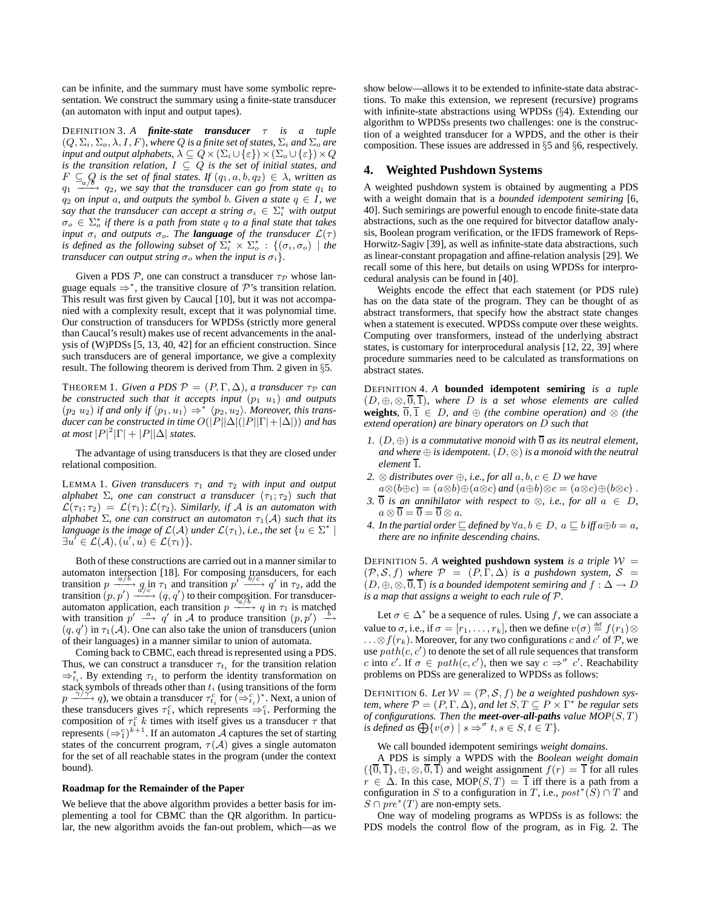can be infinite, and the summary must have some symbolic representation. We construct the summary using a finite-state transducer (an automaton with input and output tapes).

DEFINITION 3. *A finite-state transducer* τ *is a tuple*  $(Q, \Sigma_i, \Sigma_o, \lambda, I, F)$ *, where*  $Q$  *is a finite set of states,*  $\Sigma_i$  *and*  $\Sigma_o$  *are input and output alphabets,*  $\lambda\subseteq Q\times (\Sigma_i\cup\{\varepsilon\})\times (\Sigma_o\cup\{\varepsilon\})\times Q$ *is the transition relation,* I ⊆ Q *is the set of initial states, and*  $F \subseteq_{a} Q$  is the set of final states. If  $(q_1, a, b, q_2) \in \lambda$ , written as  $q_1$  – −−−→ q2*, we say that the transducer can go from state* q<sup>1</sup> *to*  $q_2$  *on input* a*, and outputs the symbol b. Given a state*  $q \in I$ *, we* say that the transducer can accept a string  $\sigma_i \in \sum_{i=1}^{n}$  with output  $\sigma_o \in \Sigma_o^*$  if there is a path from state q to a final state that takes *input*  $\sigma_i$  *and outputs*  $\sigma_o$ *. The language of the transducer*  $\mathcal{L}(\tau)$ *is defined as the following subset of*  $\overline{\Sigma}_{i}^{*} \times \overline{\Sigma}_{o}^{*}$  :  $\{(\sigma_{i}, \sigma_{o}) \mid the$ *transducer can output string*  $\sigma_o$  *when the input is*  $\sigma_i$ *}.* 

Given a PDS  $P$ , one can construct a transducer  $\tau_P$  whose language equals  $\Rightarrow^*$ , the transitive closure of  $\mathcal{P}$ 's transition relation. This result was first given by Caucal [10], but it was not accompanied with a complexity result, except that it was polynomial time. Our construction of transducers for WPDSs (strictly more general than Caucal's result) makes use of recent advancements in the analysis of (W)PDSs [5, 13, 40, 42] for an efficient construction. Since such transducers are of general importance, we give a complexity result. The following theorem is derived from Thm. 2 given in §5.

THEOREM 1. *Given a PDS*  $P = (P, \Gamma, \Delta)$ *, a transducer*  $\tau_P$  *can be constructed such that it accepts input*  $(p_1 \ u_1)$  *and outputs*  $(p_2, u_2)$  *if and only if*  $\langle p_1, u_1 \rangle \Rightarrow^* \langle p_2, u_2 \rangle$ *. Moreover, this transducer can be constructed in time*  $O(|P||\Delta|(|P||\Gamma| + |\Delta|))$  *and has at most*  $|P|^2|\Gamma| + |P||\Delta|$  *states.* 

The advantage of using transducers is that they are closed under relational composition.

**LEMMA 1. Given transducers**  $\tau_1$  and  $\tau_2$  with input and output *alphabet*  $\Sigma$ *, one can construct a transducer*  $(\tau_1; \tau_2)$  *such that*  $\mathcal{L}(\tau_1; \tau_2) = \mathcal{L}(\tau_1); \mathcal{L}(\tau_2)$ . Similarly, if A is an automaton with *alphabet*  $\Sigma$ *, one can construct an automaton*  $\tau_1(A)$  *such that its language is the image of*  $\mathcal{L}(\mathcal{A})$  *under*  $\mathcal{L}(\tau_1)$ *, i.e., the set*  $\{u \in \Sigma^* \mid \mathcal{A}(\tau_1), \tau_2, \tau_3\}$  $\exists u' \in \mathcal{L}(\mathcal{A}), (u', u) \in \mathcal{L}(\tau_1)$ .

Both of these constructions are carried out in a manner similar to automaton intersection [18]. For composing transducers, for each transition  $p \xrightarrow{a/b} q$  in  $\tau_1$  and transition  $p' \xrightarrow{b/c} q'$  in  $\tau_2$ , add the transition  $(p, p') \xrightarrow{d/c} (q, q')$  to their composition. For transducerautomaton application, each transition  $p \xrightarrow{t_a/b} q$  in  $\tau_1$  is matched<br>with transition  $p' \xrightarrow{\alpha} q'$  in A to produce transition  $(p, p') \xrightarrow{b}$ with transition  $p' \stackrel{a}{\longrightarrow} q'$  in A to produce transition  $(p, p')$  $(q, q')$  in  $\tau_1(A)$ . One can also take the union of transducers (union of their languages) in a manner similar to union of automata.

Coming back to CBMC, each thread is represented using a PDS. Thus, we can construct a transducer  $\tau_{t_i}$  for the transition relation  $\Rightarrow_{t_i}^*$ . By extending  $\tau_{t_i}$  to perform the identity transformation on stack symbols of threads other than  $t_i$  (using transitions of the form  $p \xrightarrow{\gamma/\gamma} q$ ), we obtain a transducer  $\tau_{t_i}^c$  for  $(\Rightarrow_{t_i}^c)^*$ . Next, a union of these transducers gives  $\tau_1^c$ , which represents  $\Rightarrow_1^c$ . Performing the composition of  $\tau_1^c$  k times with itself gives us a transducer  $\tau$  that represents  $(\Rightarrow_1^c)^{\overline{k+1}}$ . If an automaton  $\overline{A}$  captures the set of starting states of the concurrent program,  $\tau(A)$  gives a single automaton for the set of all reachable states in the program (under the context bound).

## **Roadmap for the Remainder of the Paper**

We believe that the above algorithm provides a better basis for implementing a tool for CBMC than the QR algorithm. In particular, the new algorithm avoids the fan-out problem, which—as we

show below—allows it to be extended to infinite-state data abstractions. To make this extension, we represent (recursive) programs with infinite-state abstractions using WPDSs (§4). Extending our algorithm to WPDSs presents two challenges: one is the construction of a weighted transducer for a WPDS, and the other is their composition. These issues are addressed in §5 and §6, respectively.

# **4. Weighted Pushdown Systems**

A weighted pushdown system is obtained by augmenting a PDS with a weight domain that is a *bounded idempotent semiring* [6, 40]. Such semirings are powerful enough to encode finite-state data abstractions, such as the one required for bitvector dataflow analysis, Boolean program verification, or the IFDS framework of Reps-Horwitz-Sagiv [39], as well as infinite-state data abstractions, such as linear-constant propagation and affine-relation analysis [29]. We recall some of this here, but details on using WPDSs for interprocedural analysis can be found in [40].

Weights encode the effect that each statement (or PDS rule) has on the data state of the program. They can be thought of as abstract transformers, that specify how the abstract state changes when a statement is executed. WPDSs compute over these weights. Computing over transformers, instead of the underlying abstract states, is customary for interprocedural analysis [12, 22, 39] where procedure summaries need to be calculated as transformations on abstract states.

DEFINITION 4. *A* **bounded idempotent semiring** *is a tuple*  $(D, \oplus, \otimes, \overline{0}, \overline{1})$ *, where* D *is a set whose elements are called* **weights**,  $\overline{0}$ ,  $\overline{1}$   $\in$  *D*, and  $\oplus$  *(the combine operation) and*  $\otimes$  *(the extend operation) are binary operators on* D *such that*

- *1.*  $(D, \oplus)$  *is a commutative monoid with*  $\overline{0}$  *as its neutral element, and where*  $\oplus$  *is idempotent.*  $(D, \otimes)$  *is a monoid with the neutral*  $element$   $\overline{1}$ *.*
- *2.* ⊗ *distributes over* ⊕*, i.e., for all* a, b, c ∈ D *we have*
- $a\otimes(b\oplus c)=(a\otimes b)\oplus(a\otimes c)$  *and*  $(a\oplus b)\otimes c=(a\otimes c)\oplus(b\otimes c)$ . *3.*  $\overline{0}$  *is an annihilator with respect to*  $\otimes$ *, i.e., for all*  $a \in D$ *,*  $a \otimes \overline{0} = \overline{0} = \overline{0} \otimes a.$
- *4. In the partial order*  $\subseteq$  *defined by*  $\forall a, b \in D$ ,  $a \subseteq b$  *iff*  $a \oplus b = a$ , *there are no infinite descending chains.*

DEFINITION 5. A **weighted pushdown system** is a triple  $W =$  $(\mathcal{P}, \mathcal{S}, f)$  *where*  $\mathcal{P} = (P, \Gamma, \Delta)$  *is a pushdown system,*  $\mathcal{S} =$  $(D, \oplus, \otimes, \overline{0}, \overline{1})$  *is a bounded idempotent semiring and*  $f : \Delta \to D$ *is a map that assigns a weight to each rule of* P*.*

Let  $\sigma \in \Delta^*$  be a sequence of rules. Using f, we can associate a value to  $\sigma,$  i.e., if  $\sigma = [r_1, \ldots, r_k]$ , then we define  $v(\sigma) \stackrel{\text{def}}{=} f(r_1) \otimes$  $\dots \otimes f(r_k)$ . Moreover, for any two configurations c and c' of  $\mathcal{P}$ , we use  $path(c, c')$  to denote the set of all rule sequences that transform c into c'. If  $\sigma \in path(c, c')$ , then we say  $c \Rightarrow^{\sigma} c'$ . Reachability problems on PDSs are generalized to WPDSs as follows:

DEFINITION 6. Let  $W = (\mathcal{P}, \mathcal{S}, f)$  be a weighted pushdown system, where  $\mathcal{P} = (P, \Gamma, \Delta)$ , and let  $S, T \subseteq P \times \Gamma^*$  be regular sets *of configurations. Then the meet-over-all-paths value*  $MOP(S, T)$ *is defined as*  $\bigoplus \{v(\sigma) \mid s \Rightarrow^{\sigma} t, s \in S, t \in T\}.$ 

We call bounded idempotent semirings *weight domains*.

A PDS is simply a WPDS with the *Boolean weight domain*  $(\{\overline{0}, \overline{1}\}, \oplus, \otimes, \overline{0}, \overline{1})$  and weight assignment  $f(r) = \overline{1}$  for all rules  $r \in \Delta$ . In this case, MOP(S, T) =  $\overline{1}$  iff there is a path from a configuration in S to a configuration in T, i.e.,  $post^*(S) \cap T$  and  $S \cap pre^*(T)$  are non-empty sets.

One way of modeling programs as WPDSs is as follows: the PDS models the control flow of the program, as in Fig. 2. The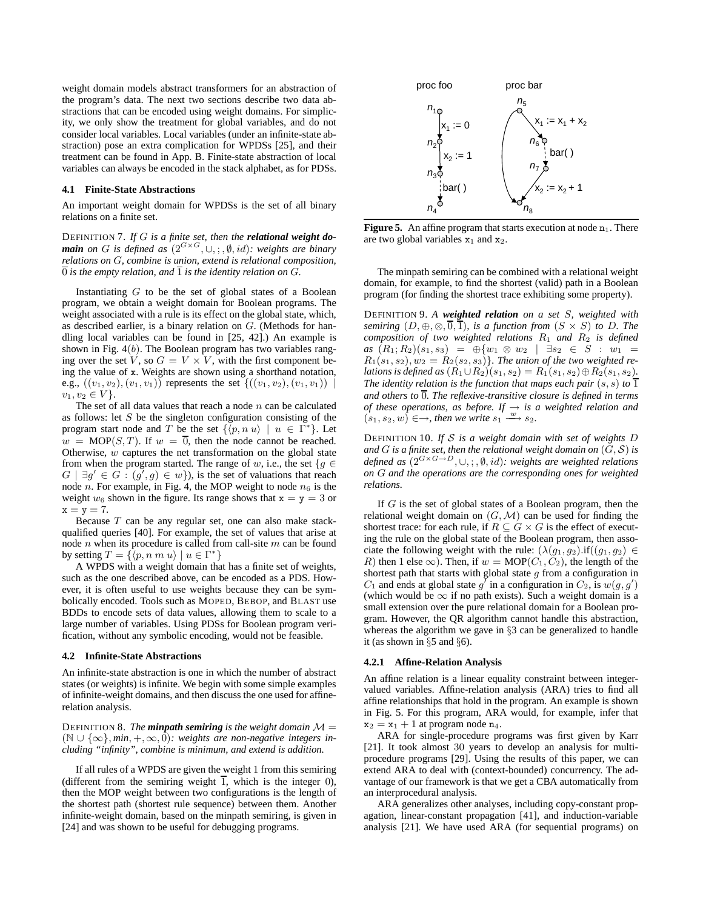weight domain models abstract transformers for an abstraction of the program's data. The next two sections describe two data abstractions that can be encoded using weight domains. For simplicity, we only show the treatment for global variables, and do not consider local variables. Local variables (under an infinite-state abstraction) pose an extra complication for WPDSs [25], and their treatment can be found in App. B. Finite-state abstraction of local variables can always be encoded in the stack alphabet, as for PDSs.

## **4.1 Finite-State Abstractions**

An important weight domain for WPDSs is the set of all binary relations on a finite set.

DEFINITION 7. *If* G *is a finite set, then the relational weight domain on* G *is defined as* (2<sup>G</sup>×<sup>G</sup>, ∪, ; , ∅, id)*: weights are binary relations on* G*, combine is union, extend is relational composition,*  $\overline{0}$  *is the empty relation, and*  $\overline{1}$  *is the identity relation on G.* 

Instantiating  $G$  to be the set of global states of a Boolean program, we obtain a weight domain for Boolean programs. The weight associated with a rule is its effect on the global state, which, as described earlier, is a binary relation on G. (Methods for handling local variables can be found in [25, 42].) An example is shown in Fig.  $4(b)$ . The Boolean program has two variables ranging over the set V, so  $G = V \times V$ , with the first component being the value of x. Weights are shown using a shorthand notation, e.g.,  $((v_1, v_2), (v_1, v_1))$  represents the set  ${((v_1, v_2), (v_1, v_1))}$  $v_1, v_2 \in V$ .

The set of all data values that reach a node  $n$  can be calculated as follows: let  $S$  be the singleton configuration consisting of the program start node and T be the set  $\{\langle p, n | u \rangle \mid u \in \Gamma^*\}$ . Let  $w = \text{MOP}(S, T)$ . If  $w = \overline{0}$ , then the node cannot be reached. Otherwise,  $w$  captures the net transformation on the global state from when the program started. The range of w, i.e., the set  $\{g \in$  $G \mid \exists g' \in G : (g', g) \in w$ , is the set of valuations that reach node *n*. For example, in Fig. 4, the MOP weight to node  $n_6$  is the weight  $w_6$  shown in the figure. Its range shows that  $x = y = 3$  or  $\mathtt{x}=\mathtt{y}=7.$ 

Because  $T$  can be any regular set, one can also make stackqualified queries [40]. For example, the set of values that arise at node  $n$  when its procedure is called from call-site  $m$  can be found by setting  $T = \{ \langle p, n | m \rangle \mid u \in \Gamma^* \}$ 

A WPDS with a weight domain that has a finite set of weights, such as the one described above, can be encoded as a PDS. However, it is often useful to use weights because they can be symbolically encoded. Tools such as MOPED, BEBOP, and BLAST use BDDs to encode sets of data values, allowing them to scale to a large number of variables. Using PDSs for Boolean program verification, without any symbolic encoding, would not be feasible.

#### **4.2 Infinite-State Abstractions**

An infinite-state abstraction is one in which the number of abstract states (or weights) is infinite. We begin with some simple examples of infinite-weight domains, and then discuss the one used for affinerelation analysis.

DEFINITION 8. *The minpath semiring is the weight domain*  $M =$ (N ∪ {∞}, *min*, +,∞, 0)*: weights are non-negative integers including "infinity", combine is minimum, and extend is addition.*

If all rules of a WPDS are given the weight 1 from this semiring (different from the semiring weight  $\overline{1}$ , which is the integer 0), then the MOP weight between two configurations is the length of the shortest path (shortest rule sequence) between them. Another infinite-weight domain, based on the minpath semiring, is given in [24] and was shown to be useful for debugging programs.



**Figure 5.** An affine program that starts execution at node  $n_1$ . There are two global variables  $x_1$  and  $x_2$ .

The minpath semiring can be combined with a relational weight domain, for example, to find the shortest (valid) path in a Boolean program (for finding the shortest trace exhibiting some property).

DEFINITION 9. *A weighted relation on a set* S*, weighted with semiring*  $(D, \oplus, \otimes, \overline{0}, \overline{1})$ *, is a function from*  $(S \times S)$  *to* D. The *composition of two weighted relations* R<sup>1</sup> *and* R<sup>2</sup> *is defined as*  $(R_1; R_2)(s_1, s_3) = \Theta\{w_1 \otimes w_2 \mid \exists s_2 \in S : w_1 =$  $R_1(s_1, s_2), w_2 = R_2(s_2, s_3)$ . The union of the two weighted re*lations is defined as*  $(R_1 \cup R_2)(s_1, s_2) = R_1(s_1, s_2) \oplus R_2(s_1, s_2)$ . *The identity relation is the function that maps each pair*  $(s, s)$  *to*  $\overline{1}$ and others to  $\overline{0}$ . The reflexive-transitive closure is defined in terms *of these operations, as before. If* → *is a weighted relation and*  $(s_1, s_2, w) \in \rightarrow$ *, then we write*  $s_1 \stackrel{w}{\longrightarrow} s_2$ *.* 

DEFINITION 10. *If* S *is a weight domain with set of weights* D *and* G *is a finite set, then the relational weight domain on* (G, S) *is defined as* (2<sup>G</sup>×G→<sup>D</sup>, ∪, ; , ∅, id)*: weights are weighted relations on* G *and the operations are the corresponding ones for weighted relations.*

If G is the set of global states of a Boolean program, then the relational weight domain on  $(G, \mathcal{M})$  can be used for finding the shortest trace: for each rule, if  $R \subseteq G \times G$  is the effect of executing the rule on the global state of the Boolean program, then associate the following weight with the rule:  $(\lambda(g_1, g_2)$ .if $((g_1, g_2) \in$ R) then 1 else  $\infty$ ). Then, if  $w = \text{MOP}(C_1, C_2)$ , the length of the shortest path that starts with global state  $g$  from a configuration in  $C_1$  and ends at global state  $g^{\dagger}$  in a configuration in  $C_2$ , is  $w(g, g')$ (which would be  $\infty$  if no path exists). Such a weight domain is a small extension over the pure relational domain for a Boolean program. However, the QR algorithm cannot handle this abstraction, whereas the algorithm we gave in §3 can be generalized to handle it (as shown in §5 and §6).

## **4.2.1 Affine-Relation Analysis**

An affine relation is a linear equality constraint between integervalued variables. Affine-relation analysis (ARA) tries to find all affine relationships that hold in the program. An example is shown in Fig. 5. For this program, ARA would, for example, infer that  $x_2 = x_1 + 1$  at program node  $n_4$ .

ARA for single-procedure programs was first given by Karr [21]. It took almost 30 years to develop an analysis for multiprocedure programs [29]. Using the results of this paper, we can extend ARA to deal with (context-bounded) concurrency. The advantage of our framework is that we get a CBA automatically from an interprocedural analysis.

ARA generalizes other analyses, including copy-constant propagation, linear-constant propagation [41], and induction-variable analysis [21]. We have used ARA (for sequential programs) on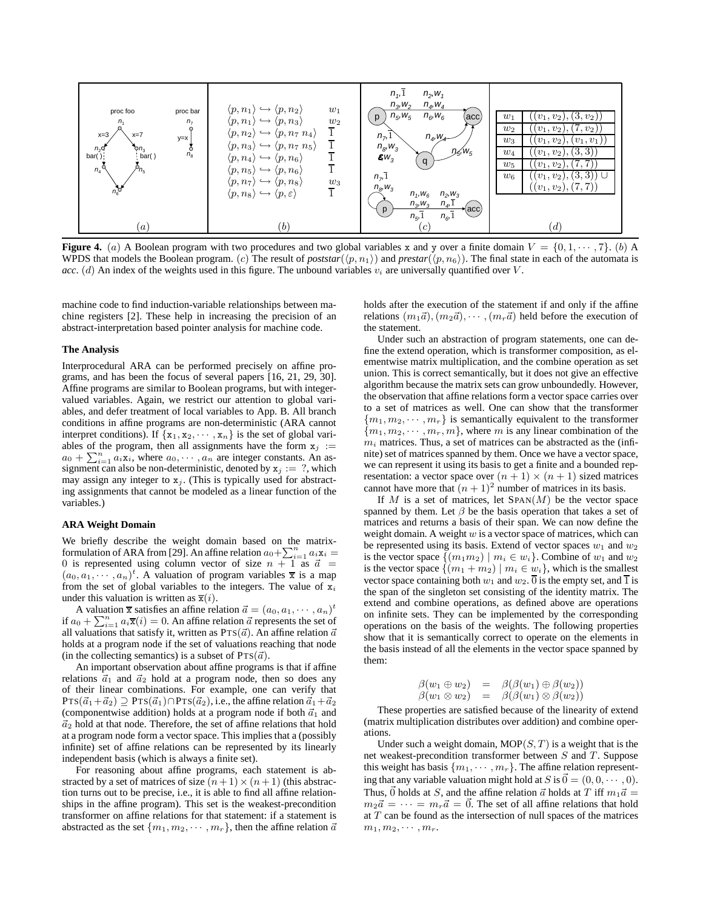

**Figure 4.** (a) A Boolean program with two procedures and two global variables x and y over a finite domain  $V = \{0, 1, \dots, 7\}$ . (b) A WPDS that models the Boolean program. (c) The result of *poststar*( $\langle p, n_1 \rangle$ ) and *prestar*( $\langle p, n_6 \rangle$ ). The final state in each of the automata is *acc.* (d) An index of the weights used in this figure. The unbound variables  $v_i$  are universally quantified over  $V$ .

machine code to find induction-variable relationships between machine registers [2]. These help in increasing the precision of an abstract-interpretation based pointer analysis for machine code.

#### **The Analysis**

Interprocedural ARA can be performed precisely on affine programs, and has been the focus of several papers [16, 21, 29, 30]. Affine programs are similar to Boolean programs, but with integervalued variables. Again, we restrict our attention to global variables, and defer treatment of local variables to App. B. All branch conditions in affine programs are non-deterministic (ARA cannot interpret conditions). If  $\{x_1, x_2, \dots, x_n\}$  is the set of global variables of the program, then all assignments have the form  $x_j :=$  $a_0 + \sum_{i=1}^n a_i \mathbf{x}_i$ , where  $a_0, \dots, a_n$  are integer constants. An assignment can also be non-deterministic, denoted by  $x_i := ?$ , which may assign any integer to  $x_j$ . (This is typically used for abstracting assignments that cannot be modeled as a linear function of the variables.)

## **ARA Weight Domain**

We briefly describe the weight domain based on the matrixformulation of ARA from [29]. An affine relation  $a_0 + \sum_{i=1}^n a_i \mathbf{x}_i =$ 0 is represented using column vector of size  $n + 1$  as  $\vec{a} =$  $(a_0, a_1, \dots, a_n)^t$ . A valuation of program variables  $\overline{x}$  is a map from the set of global variables to the integers. The value of  $x_i$ under this valuation is written as  $\overline{x}(i)$ .

A valuation  $\bar{x}$  satisfies an affine relation  $\vec{a} = (a_0, a_1, \dots, a_n)^t$ if  $a_0 + \sum_{i=1}^n a_i \overline{\mathbf{x}}(i) = 0$ . An affine relation  $\overline{a}$  represents the set of all valuations that satisfy it, written as  $PrS(\vec{a})$ . An affine relation  $\vec{a}$ holds at a program node if the set of valuations reaching that node (in the collecting semantics) is a subset of  $PrS(\vec{a})$ .

An important observation about affine programs is that if affine relations  $\vec{a}_1$  and  $\vec{a}_2$  hold at a program node, then so does any of their linear combinations. For example, one can verify that  $Prs(\vec{a}_1+\vec{a}_2) \supseteq Prs(\vec{a}_1) \cap Prs(\vec{a}_2)$ , i.e., the affine relation  $\vec{a}_1+\vec{a}_2$ (componentwise addition) holds at a program node if both  $\vec{a}_1$  and  $\vec{a}_2$  hold at that node. Therefore, the set of affine relations that hold at a program node form a vector space. This implies that a (possibly infinite) set of affine relations can be represented by its linearly independent basis (which is always a finite set).

For reasoning about affine programs, each statement is abstracted by a set of matrices of size  $(n + 1) \times (n + 1)$  (this abstraction turns out to be precise, i.e., it is able to find all affine relationships in the affine program). This set is the weakest-precondition transformer on affine relations for that statement: if a statement is abstracted as the set  $\{m_1, m_2, \cdots, m_r\}$ , then the affine relation  $\vec{a}$  holds after the execution of the statement if and only if the affine relations  $(m_1\vec{a}), (m_2\vec{a}), \cdots, (m_r\vec{a})$  held before the execution of the statement.

Under such an abstraction of program statements, one can define the extend operation, which is transformer composition, as elementwise matrix multiplication, and the combine operation as set union. This is correct semantically, but it does not give an effective algorithm because the matrix sets can grow unboundedly. However, the observation that affine relations form a vector space carries over to a set of matrices as well. One can show that the transformer  ${m_1, m_2, \cdots, m_r}$  is semantically equivalent to the transformer  ${m_1, m_2, \cdots, m_r, m}$ , where m is any linear combination of the  $m<sub>i</sub>$  matrices. Thus, a set of matrices can be abstracted as the (infinite) set of matrices spanned by them. Once we have a vector space, we can represent it using its basis to get a finite and a bounded representation: a vector space over  $(n + 1) \times (n + 1)$  sized matrices cannot have more that  $(n+1)^2$  number of matrices in its basis.

If M is a set of matrices, let  $SPAN(M)$  be the vector space spanned by them. Let  $\beta$  be the basis operation that takes a set of matrices and returns a basis of their span. We can now define the weight domain. A weight  $w$  is a vector space of matrices, which can be represented using its basis. Extend of vector spaces  $w_1$  and  $w_2$ is the vector space  $\{(m_1m_2) | m_i \in w_i\}$ . Combine of  $w_1$  and  $w_2$ is the vector space  $\{(m_1 + m_2) | m_i \in w_i\}$ , which is the smallest vector space containing both  $w_1$  and  $w_2$ .  $\overline{0}$  is the empty set, and  $\overline{1}$  is the span of the singleton set consisting of the identity matrix. The extend and combine operations, as defined above are operations on infinite sets. They can be implemented by the corresponding operations on the basis of the weights. The following properties show that it is semantically correct to operate on the elements in the basis instead of all the elements in the vector space spanned by them:

$$
\begin{array}{rcl}\n\beta(w_1 \oplus w_2) & = & \beta(\beta(w_1) \oplus \beta(w_2)) \\
\beta(w_1 \otimes w_2) & = & \beta(\beta(w_1) \otimes \beta(w_2))\n\end{array}
$$

These properties are satisfied because of the linearity of extend (matrix multiplication distributes over addition) and combine operations.

Under such a weight domain,  $MOP(S, T)$  is a weight that is the net weakest-precondition transformer between S and T. Suppose this weight has basis  $\{m_1, \dots, m_r\}$ . The affine relation representing that any variable valuation might hold at S is  $\vec{0} = (0, 0, \dots, 0)$ . Thus,  $\vec{0}$  holds at S, and the affine relation  $\vec{a}$  holds at T iff  $m_1\vec{a}$  =  $m_2\vec{a} = \cdots = m_r\vec{a} = \vec{0}$ . The set of all affine relations that hold at  $T$  can be found as the intersection of null spaces of the matrices  $m_1, m_2, \cdots, m_r$ .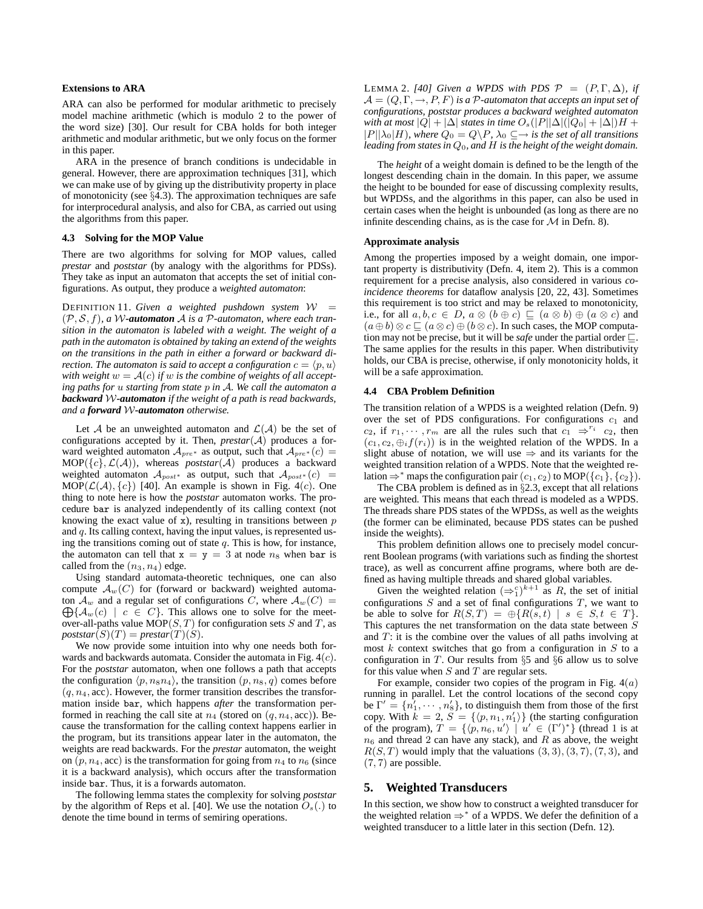# **Extensions to ARA**

ARA can also be performed for modular arithmetic to precisely model machine arithmetic (which is modulo 2 to the power of the word size) [30]. Our result for CBA holds for both integer arithmetic and modular arithmetic, but we only focus on the former in this paper.

ARA in the presence of branch conditions is undecidable in general. However, there are approximation techniques [31], which we can make use of by giving up the distributivity property in place of monotonicity (see §4.3). The approximation techniques are safe for interprocedural analysis, and also for CBA, as carried out using the algorithms from this paper.

#### **4.3 Solving for the MOP Value**

There are two algorithms for solving for MOP values, called *prestar* and *poststar* (by analogy with the algorithms for PDSs). They take as input an automaton that accepts the set of initial configurations. As output, they produce a *weighted automaton*:

DEFINITION 11. Given a weighted pushdown system  $W =$ (P, S, f)*, a* W*-automaton* A *is a* P*-automaton, where each transition in the automaton is labeled with a weight. The weight of a path in the automaton is obtained by taking an extend of the weights on the transitions in the path in either a forward or backward direction. The automaton is said to accept a configuration*  $c = \langle p, u \rangle$ with weight  $w = A(c)$  if w is the combine of weights of all accept*ing paths for* u *starting from state* p *in* A*. We call the automaton a backward* W*-automaton if the weight of a path is read backwards, and a forward* W*-automaton otherwise.*

Let A be an unweighted automaton and  $\mathcal{L}(\mathcal{A})$  be the set of configurations accepted by it. Then, *prestar*(A) produces a forward weighted automaton  $A_{pre^*}$  as output, such that  $A_{pre^*}(c)$  =  $MOP({c}, \mathcal{L}(\mathcal{A}))$ , whereas *poststar*( $\mathcal{A}$ ) produces a backward weighted automaton  $A_{post*}$  as output, such that  $A_{post*}(c)$  =  $MOP(\mathcal{L}(\mathcal{A}), \{c\})$  [40]. An example is shown in Fig. 4(c). One thing to note here is how the *poststar* automaton works. The procedure bar is analyzed independently of its calling context (not knowing the exact value of  $x$ ), resulting in transitions between  $p$ and  $q$ . Its calling context, having the input values, is represented using the transitions coming out of state  $q$ . This is how, for instance, the automaton can tell that  $x = y = 3$  at node  $n_8$  when bar is called from the  $(n_3, n_4)$  edge.

Using standard automata-theoretic techniques, one can also compute  $\mathcal{A}_w(C)$  for (forward or backward) weighted automaton  $\mathcal{A}_w$  and a regular set of configurations C, where  $\mathcal{A}_w(C) =$  $\bigoplus \{\mathcal{A}_w(c) \mid c \in C\}$ . This allows one to solve for the meetover-all-paths value  $MOP(S, T)$  for configuration sets S and T, as  $poststar(S)(T) = prestar(T)(S).$ 

We now provide some intuition into why one needs both forwards and backwards automata. Consider the automata in Fig.  $4(c)$ . For the *poststar* automaton, when one follows a path that accepts the configuration  $\langle p, n_8n_4 \rangle$ , the transition  $(p, n_8, q)$  comes before  $(q, n<sub>4</sub>, acc)$ . However, the former transition describes the transformation inside bar, which happens *after* the transformation performed in reaching the call site at  $n_4$  (stored on  $(q, n_4, \text{acc})$ ). Because the transformation for the calling context happens earlier in the program, but its transitions appear later in the automaton, the weights are read backwards. For the *prestar* automaton, the weight on  $(p, n_4, \text{acc})$  is the transformation for going from  $n_4$  to  $n_6$  (since it is a backward analysis), which occurs after the transformation inside bar. Thus, it is a forwards automaton.

The following lemma states the complexity for solving *poststar* by the algorithm of Reps et al. [40]. We use the notation  $O_s(.)$  to denote the time bound in terms of semiring operations.

LEMMA 2. [40] Given a WPDS with PDS  $\mathcal{P} = (P, \Gamma, \Delta)$ , if  $\mathcal{A} = (Q, \Gamma, \rightarrow, P, F)$  *is a P*-automaton that accepts an input set of *configurations, poststar produces a backward weighted automaton with at most*  $|Q| + |\Delta|$  *states in time*  $O_s(|P||\Delta|(|Q_0| + |\Delta|)H +$  $|P||\lambda_0|H$ *), where*  $Q_0 = Q \backslash P$ *,*  $\lambda_0 \subseteq \rightarrow$  *is the set of all transitions leading from states in* Q0*, and* H *is the height of the weight domain.*

The *height* of a weight domain is defined to be the length of the longest descending chain in the domain. In this paper, we assume the height to be bounded for ease of discussing complexity results, but WPDSs, and the algorithms in this paper, can also be used in certain cases when the height is unbounded (as long as there are no infinite descending chains, as is the case for  $M$  in Defn. 8).

#### **Approximate analysis**

Among the properties imposed by a weight domain, one important property is distributivity (Defn. 4, item 2). This is a common requirement for a precise analysis, also considered in various *coincidence theorems* for dataflow analysis [20, 22, 43]. Sometimes this requirement is too strict and may be relaxed to monotonicity, i.e., for all  $a, b, c \in D$ ,  $a \otimes (b \oplus c) \sqsubseteq (a \otimes b) \oplus (a \otimes c)$  and  $(a \oplus b) \otimes c \sqsubseteq (a \otimes c) \oplus (b \otimes c)$ . In such cases, the MOP computation may not be precise, but it will be *safe* under the partial order ⊑. The same applies for the results in this paper. When distributivity holds, our CBA is precise, otherwise, if only monotonicity holds, it will be a safe approximation.

## **4.4 CBA Problem Definition**

The transition relation of a WPDS is a weighted relation (Defn. 9) over the set of PDS configurations. For configurations  $c_1$  and  $c_2$ , if  $r_1, \dots, r_m$  are all the rules such that  $c_1 \Rightarrow^{r_i} c_2$ , then  $(c_1, c_2, \bigoplus_i f(r_i))$  is in the weighted relation of the WPDS. In a slight abuse of notation, we will use  $\Rightarrow$  and its variants for the weighted transition relation of a WPDS. Note that the weighted relation  $\Rightarrow^*$  maps the configuration pair  $(c_1, c_2)$  to MOP( $\{c_1\}$ ,  $\{c_2\}$ ).

The CBA problem is defined as in §2.3, except that all relations are weighted. This means that each thread is modeled as a WPDS. The threads share PDS states of the WPDSs, as well as the weights (the former can be eliminated, because PDS states can be pushed inside the weights).

This problem definition allows one to precisely model concurrent Boolean programs (with variations such as finding the shortest trace), as well as concurrent affine programs, where both are defined as having multiple threads and shared global variables.

Given the weighted relation  $(\Rightarrow_1^c)^{k+1}$  as R, the set of initial configurations  $S$  and a set of final configurations  $T$ , we want to be able to solve for  $R(S,T) = \bigoplus \{ R(s,t) \mid s \in S, t \in T \}.$ This captures the net transformation on the data state between S and  $T$ : it is the combine over the values of all paths involving at most  $k$  context switches that go from a configuration in  $S$  to a configuration in T. Our results from  $\S5$  and  $\S6$  allow us to solve for this value when  $S$  and  $T$  are regular sets.

For example, consider two copies of the program in Fig.  $4(a)$ running in parallel. Let the control locations of the second copy be  $\Gamma' = \{n'_1, \cdots, n'_8\}$ , to distinguish them from those of the first copy. With  $k = 2$ ,  $S = \{ \langle p, n_1, n'_1 \rangle \}$  (the starting configuration of the program),  $T = \{ \langle p, n_6, u' \rangle \mid u' \in (\Gamma')^* \}$  (thread 1 is at  $n_6$  and thread 2 can have any stack), and R as above, the weight  $R(S, T)$  would imply that the valuations  $(3, 3), (3, 7), (7, 3)$ , and  $(7, 7)$  are possible.

# **5. Weighted Transducers**

In this section, we show how to construct a weighted transducer for the weighted relation  $\Rightarrow^*$  of a WPDS. We defer the definition of a weighted transducer to a little later in this section (Defn. 12).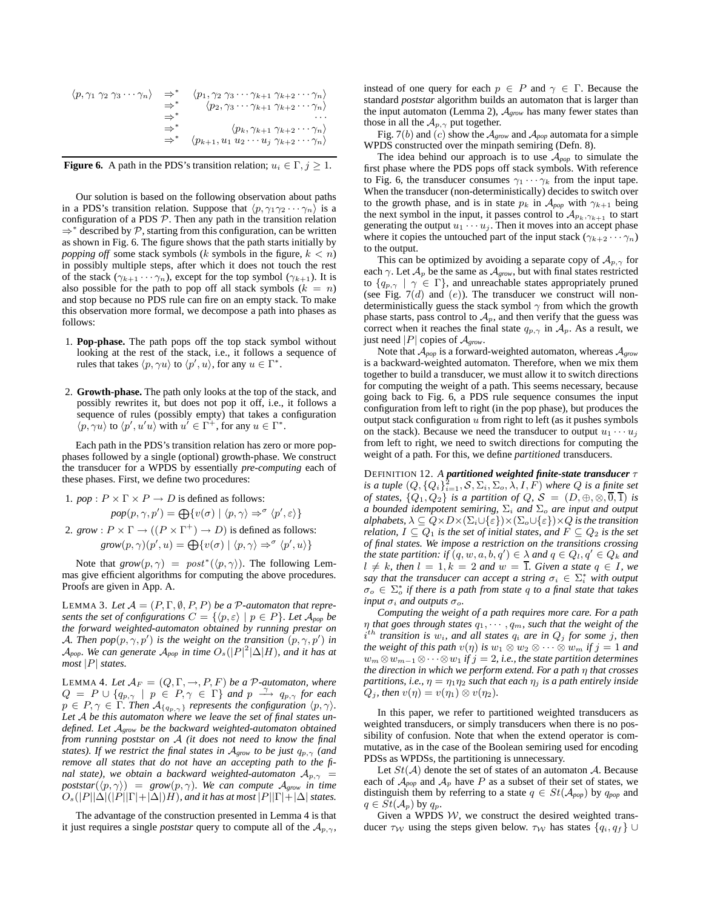$$
\langle p, \gamma_1 \gamma_2 \gamma_3 \cdots \gamma_n \rangle \Rightarrow^* \langle p_1, \gamma_2 \gamma_3 \cdots \gamma_{k+1} \gamma_{k+2} \cdots \gamma_n \rangle
$$
  
\n
$$
\Rightarrow^* \langle p_2, \gamma_3 \cdots \gamma_{k+1} \gamma_{k+2} \cdots \gamma_n \rangle
$$
  
\n
$$
\Rightarrow^* \langle p_k, \gamma_{k+1} \gamma_{k+2} \cdots \gamma_n \rangle
$$
  
\n
$$
\Rightarrow^* \langle p_{k+1}, u_1 u_2 \cdots u_j \gamma_{k+2} \cdots \gamma_n \rangle
$$

**Figure 6.** A path in the PDS's transition relation;  $u_i \in \Gamma$ ,  $j \ge 1$ .

Our solution is based on the following observation about paths in a PDS's transition relation. Suppose that  $\langle p, \gamma_1 \gamma_2 \cdots \gamma_n \rangle$  is a configuration of a PDS  $P$ . Then any path in the transition relation ⇒<sup>∗</sup> described by P, starting from this configuration, can be written as shown in Fig. 6. The figure shows that the path starts initially by *popping off* some stack symbols (k symbols in the figure,  $k < n$ ) in possibly multiple steps, after which it does not touch the rest of the stack  $(\gamma_{k+1} \cdots \gamma_n)$ , except for the top symbol  $(\gamma_{k+1})$ . It is also possible for the path to pop off all stack symbols  $(k = n)$ and stop because no PDS rule can fire on an empty stack. To make this observation more formal, we decompose a path into phases as follows:

- 1. **Pop-phase.** The path pops off the top stack symbol without looking at the rest of the stack, i.e., it follows a sequence of rules that takes  $\langle p, \gamma u \rangle$  to  $\langle p', u \rangle$ , for any  $u \in \Gamma^*$ .
- 2. **Growth-phase.** The path only looks at the top of the stack, and possibly rewrites it, but does not pop it off, i.e., it follows a sequence of rules (possibly empty) that takes a configuration  $\langle p, \gamma u \rangle$  to  $\langle p', u'u \rangle$  with  $u' \in \Gamma^+$ , for any  $u \in \Gamma^*$ .

Each path in the PDS's transition relation has zero or more popphases followed by a single (optional) growth-phase. We construct the transducer for a WPDS by essentially *pre-computing* each of these phases. First, we define two procedures:

1. 
$$
pop: P \times \Gamma \times P \rightarrow D
$$
 is defined as follows:

$$
pop(p, \gamma, p') = \bigoplus \{v(\sigma) \mid \langle p, \gamma \rangle \Rightarrow^{\sigma} \langle p', \varepsilon \rangle\}
$$

2. *grow* :  $P \times \Gamma \rightarrow ((P \times \Gamma^{+}) \rightarrow D)$  is defined as follows:  $\text{grow}(p,\gamma)(p',u) = \bigoplus \{v(\sigma) \mid \langle p,\gamma \rangle \Rightarrow^{\sigma} \langle p',u \rangle\}$ 

Note that  $\text{grow}(p,\gamma) = \text{post}^*(\langle p,\gamma \rangle)$ . The following Lemmas give efficient algorithms for computing the above procedures. Proofs are given in App. A.

LEMMA 3. Let  $\mathcal{A} = (P, \Gamma, \emptyset, P, P)$  *be a P-automaton that represents the set of configurations*  $C = \{ \langle p, \varepsilon \rangle \mid p \in P \}$ *. Let*  $\mathcal{A}_{pop}$  *be the forward weighted-automaton obtained by running prestar on* A. Then  $pop(p, \gamma, p')$  is the weight on the transition  $(p, \gamma, p')$  in  $\mathcal{A}_{pop}$ *. We can generate*  $\mathcal{A}_{pop}$  *in time*  $O_s(|P|^2|\Delta|H)$ *, and it has at most* |P| *states.*

LEMMA 4. Let  $A_F = (Q, \Gamma, \rightarrow, P, F)$  *be a P-automaton, where*  $Q = P \cup \{q_{p,\gamma} \mid p \in P, \gamma \in \Gamma\}$  *and*  $p \stackrel{\gamma}{\longrightarrow} q_{p,\gamma}$  *for each*  $p \in P, \gamma \in \Gamma$ *. Then*  $\mathcal{A}_{\{q_p, \gamma\}}$  *represents the configuration*  $\langle p, \gamma \rangle$ *. Let* A *be this automaton where we leave the set of final states undefined. Let* A*grow be the backward weighted-automaton obtained from running poststar on* A *(it does not need to know the final states). If we restrict the final states in*  $A_{grow}$  *to be just*  $q_{p,\gamma}$  *(and remove all states that do not have an accepting path to the final state), we obtain a backward weighted-automaton*  $A_{p,\gamma}$  = *poststar*( $\langle p, \gamma \rangle$ ) = *grow*( $p, \gamma$ )*. We can compute*  $A_{grow}$  *in time*  $O_s(|P||\Delta|(|P||\Gamma|+|\Delta|)H)$ *, and it has at most*  $|P||\Gamma|+|\Delta|$  *states.* 

The advantage of the construction presented in Lemma 4 is that it just requires a single *poststar* query to compute all of the  $A_{p,\gamma}$ ,

instead of one query for each  $p \in P$  and  $\gamma \in \Gamma$ . Because the standard *poststar* algorithm builds an automaton that is larger than the input automaton (Lemma 2),  $A_{grow}$  has many fewer states than those in all the  $A_{p,\gamma}$  put together.

Fig. 7(b) and (c) show the A*grow* and A*pop* automata for a simple WPDS constructed over the minpath semiring (Defn. 8).

The idea behind our approach is to use A*pop* to simulate the first phase where the PDS pops off stack symbols. With reference to Fig. 6, the transducer consumes  $\gamma_1 \cdots \gamma_k$  from the input tape. When the transducer (non-deterministically) decides to switch over to the growth phase, and is in state  $p_k$  in  $\mathcal{A}_{pop}$  with  $\gamma_{k+1}$  being the next symbol in the input, it passes control to  $\mathcal{A}_{p_k,\gamma_{k+1}}$  to start generating the output  $u_1 \cdots u_j$ . Then it moves into an accept phase where it copies the untouched part of the input stack ( $\gamma_{k+2} \cdots \gamma_n$ ) to the output.

This can be optimized by avoiding a separate copy of  $A_{p,\gamma}$  for each  $\gamma$ . Let  $\mathcal{A}_p$  be the same as  $\mathcal{A}_{grow}$ , but with final states restricted to  $\{q_{p,\gamma} \mid \gamma \in \Gamma\}$ , and unreachable states appropriately pruned (see Fig.  $7(d)$  and  $(e)$ ). The transducer we construct will nondeterministically guess the stack symbol  $\gamma$  from which the growth phase starts, pass control to  $A_p$ , and then verify that the guess was correct when it reaches the final state  $q_{p,\gamma}$  in  $A_p$ . As a result, we just need |P| copies of A*grow*.

Note that A*pop* is a forward-weighted automaton, whereas A*grow* is a backward-weighted automaton. Therefore, when we mix them together to build a transducer, we must allow it to switch directions for computing the weight of a path. This seems necessary, because going back to Fig. 6, a PDS rule sequence consumes the input configuration from left to right (in the pop phase), but produces the output stack configuration  $u$  from right to left (as it pushes symbols on the stack). Because we need the transducer to output  $u_1 \cdots u_j$ from left to right, we need to switch directions for computing the weight of a path. For this, we define *partitioned* transducers.

DEFINITION 12. *A partitioned weighted finite-state transducer* τ is a tuple  $(Q, \{Q_i\}_{i=1}^{\mathbf{\hat{2}}}, \mathcal{S}, \Sigma_i, \Sigma_o, \lambda, I, \overline{F})$  where  $Q$  is a finite set *of states,*  $\{Q_1, Q_2\}$  *is a partition of Q, S =*  $(D, \oplus, \otimes, \overline{0}, \overline{1})$  *<i>is a bounded idempotent semiring,* Σ<sup>i</sup> *and* Σ<sup>o</sup> *are input and output alphabets,*  $\lambda \subseteq Q \times D \times (\Sigma_i \cup \{\varepsilon\}) \times (\Sigma_o \cup \{\varepsilon\}) \times Q$  *is the transition relation,*  $I \subseteq Q_1$  *is the set of initial states, and*  $F \subseteq Q_2$  *is the set of final states. We impose a restriction on the transitions crossing the state partition: if*  $(q, w, a, b, q') \in \lambda$  *and*  $q \in Q_l, q' \in Q_k$  *and*  $l \neq k$ *, then*  $l = 1, k = 2$  *and*  $w = \overline{1}$ *. Given a state*  $q \in I$ *, we* say that the transducer can accept a string  $\sigma_i \in \Sigma_i^*$  with output  $\sigma_o \in \Sigma_o^*$  if there is a path from state q to a final state that takes *input*  $\sigma_i$  *and outputs*  $\sigma_o$ *.* 

*Computing the weight of a path requires more care. For a path*  $\eta$  *that goes through states*  $q_1, \cdots, q_m$ *, such that the weight of the* i th *transition is* wi*, and all states* q<sup>i</sup> *are in* Q<sup>j</sup> *for some* j*, then the weight of this path*  $v(\eta)$  *is*  $w_1 \otimes w_2 \otimes \cdots \otimes w_m$  *if*  $j = 1$  *and*  $w_m \otimes w_{m-1} \otimes \cdots \otimes w_1$  *if*  $j = 2$ *, i.e., the state partition determines the direction in which we perform extend. For a path* η *that crosses partitions, i.e.,*  $\eta = \eta_1 \eta_2$  *such that each*  $\eta_j$  *is a path entirely inside*  $Q_j$ *, then*  $v(\eta) = v(\eta_1) \otimes v(\eta_2)$ *.* 

In this paper, we refer to partitioned weighted transducers as weighted transducers, or simply transducers when there is no possibility of confusion. Note that when the extend operator is commutative, as in the case of the Boolean semiring used for encoding PDSs as WPDSs, the partitioning is unnecessary.

Let  $St(\mathcal{A})$  denote the set of states of an automaton  $\mathcal{A}$ . Because each of  $\mathcal{A}_{pop}$  and  $\mathcal{A}_p$  have P as a subset of their set of states, we distinguish them by referring to a state  $q \in St(\mathcal{A}_{pop})$  by  $q_{pop}$  and  $q \in St(\mathcal{A}_p)$  by  $q_p$ .

Given a WPDS  $W$ , we construct the desired weighted transducer  $\tau_W$  using the steps given below.  $\tau_W$  has states  $\{q_i, q_f\} \cup$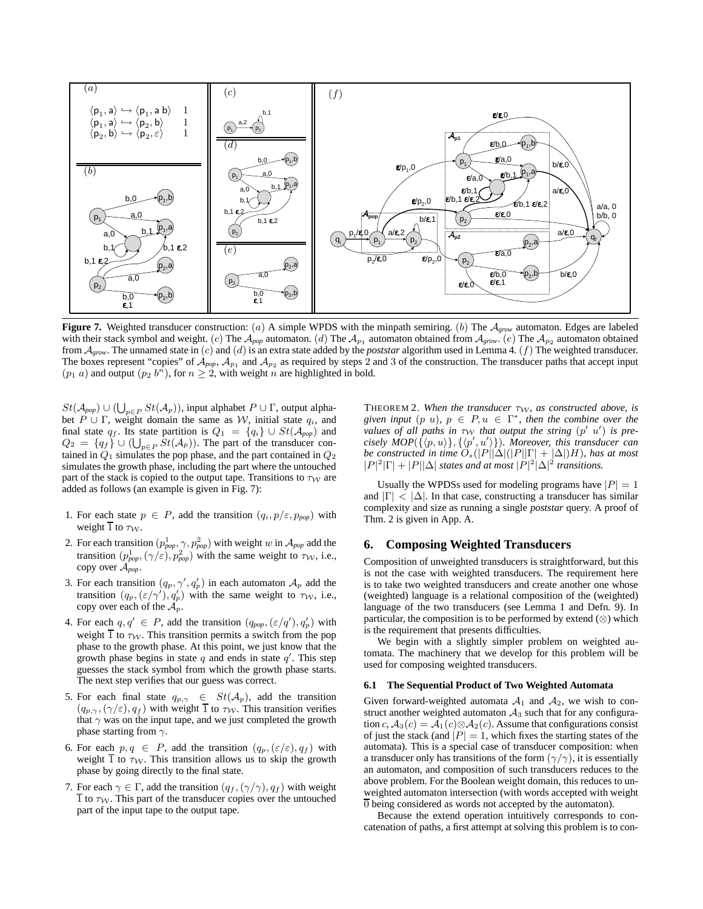

**Figure 7.** Weighted transducer construction: (a) A simple WPDS with the minpath semiring. (b) The A*grow* automaton. Edges are labeled with their stack symbol and weight. (c) The  $\mathcal{A}_{pop}$  automaton. (d) The  $\mathcal{A}_{p_1}$  automaton obtained from  $\mathcal{A}_{gaw}$ . (e) The  $\mathcal{A}_{p_2}$  automaton obtained from A*grow*. The unnamed state in (c) and (d) is an extra state added by the *poststar* algorithm used in Lemma 4. (f) The weighted transducer. The boxes represent "copies" of  $A_{pop}$ ,  $A_{p_1}$  and  $A_{p_2}$  as required by steps 2 and 3 of the construction. The transducer paths that accept input  $(p_1 a)$  and output  $(p_2 b^n)$ , for  $n \geq 2$ , with weight n are highlighted in bold.

 $St(\mathcal{A}_{pop}) \cup (\bigcup_{p \in P} St(\mathcal{A}_p))$ , input alphabet  $P \cup \Gamma$ , output alphabet  $P \cup \Gamma$ , weight domain the same as W, initial state  $q_i$ , and final state  $q_f$ . Its state partition is  $Q_1 = \{q_i\} \cup St(\mathcal{A}_{pop})$  and  $Q_2 = \{q_f\} \cup (\bigcup_{p \in P} St(\mathcal{A}_p)).$  The part of the transducer contained in  $Q_1$  simulates the pop phase, and the part contained in  $Q_2$ simulates the growth phase, including the part where the untouched part of the stack is copied to the output tape. Transitions to  $\tau_W$  are added as follows (an example is given in Fig. 7):

- 1. For each state  $p \in P$ , add the transition  $(q_i, p/\varepsilon, p_{pop})$  with weight  $\overline{1}$  to  $\tau_{\mathcal{W}}$ .
- 2. For each transition  $(p_{pop}^1, \gamma, p_{pop}^2)$  with weight w in  $\mathcal{A}_{pop}$  add the transition  $(p_{pop}^1, (\gamma/\varepsilon), p_{pop}^2)$  with the same weight to  $\tau_W$ , i.e., copy over A*pop*.
- 3. For each transition  $(q_p, \gamma', q'_p)$  in each automaton  $\mathcal{A}_p$  add the transition  $(q_p, (\varepsilon/\gamma'), q'_p)$  with the same weight to  $\tau_{\mathcal{W}}$ , i.e., copy over each of the  $\mathcal{A}_p$ .
- 4. For each  $q, q' \in P$ , add the transition  $(q_{pop}, (\varepsilon/q'), q'_p)$  with weight  $\overline{1}$  to  $\tau_W$ . This transition permits a switch from the pop phase to the growth phase. At this point, we just know that the growth phase begins in state  $q$  and ends in state  $q'$ . This step guesses the stack symbol from which the growth phase starts. The next step verifies that our guess was correct.
- 5. For each final state  $q_{p,\gamma} \in St(\mathcal{A}_p)$ , add the transition  $(q_{p,\gamma}, (\gamma/\varepsilon), q_f)$  with weight  $\overline{1}$  to  $\tau_W$ . This transition verifies that  $\gamma$  was on the input tape, and we just completed the growth phase starting from  $\gamma$ .
- 6. For each  $p, q \in P$ , add the transition  $(q_p, (\varepsilon/\varepsilon), q_f)$  with weight  $\overline{1}$  to  $\tau_W$ . This transition allows us to skip the growth phase by going directly to the final state.
- 7. For each  $\gamma \in \Gamma$ , add the transition  $(q_f, (\gamma/\gamma), q_f)$  with weight 1 to  $\tau_W$ . This part of the transducer copies over the untouched part of the input tape to the output tape.

THEOREM 2. When the transducer  $\tau_{\mathcal{W}}$ , as constructed above, is given input  $(p \ u)$ ,  $p \in P$ ,  $u \in \Gamma^*$ , then the combine over the *values of all paths in*  $\tau_{\mathcal{W}}$  *that output the string*  $(p' | u')$  *is precisely MOP* $({\langle p, u \rangle}, {\langle \langle p', u' \rangle})$ *. Moreover, this transducer can be constructed in time*  $O_s(|P||\Delta|(|P||\Gamma| + |\Delta|)H)$ *, has at most*  $|P|^2|\Gamma| + |P||\Delta|$  *states and at most*  $|P|^2|\Delta|^2$  *transitions.* 

Usually the WPDSs used for modeling programs have  $|P| = 1$ and  $|\Gamma| < |\Delta|$ . In that case, constructing a transducer has similar complexity and size as running a single *poststar* query. A proof of Thm. 2 is given in App. A.

# **6. Composing Weighted Transducers**

Composition of unweighted transducers is straightforward, but this is not the case with weighted transducers. The requirement here is to take two weighted transducers and create another one whose (weighted) language is a relational composition of the (weighted) language of the two transducers (see Lemma 1 and Defn. 9). In particular, the composition is to be performed by extend (⊗) which is the requirement that presents difficulties.

We begin with a slightly simpler problem on weighted automata. The machinery that we develop for this problem will be used for composing weighted transducers.

# **6.1 The Sequential Product of Two Weighted Automata**

Given forward-weighted automata  $A_1$  and  $A_2$ , we wish to construct another weighted automaton  $A_3$  such that for any configuration c,  $A_3(c) = A_1(c) \otimes A_2(c)$ . Assume that configurations consist of just the stack (and  $|P| = 1$ , which fixes the starting states of the automata). This is a special case of transducer composition: when a transducer only has transitions of the form  $(\gamma/\gamma)$ , it is essentially an automaton, and composition of such transducers reduces to the above problem. For the Boolean weight domain, this reduces to unweighted automaton intersection (with words accepted with weight  $\overline{0}$  being considered as words not accepted by the automaton).

Because the extend operation intuitively corresponds to concatenation of paths, a first attempt at solving this problem is to con-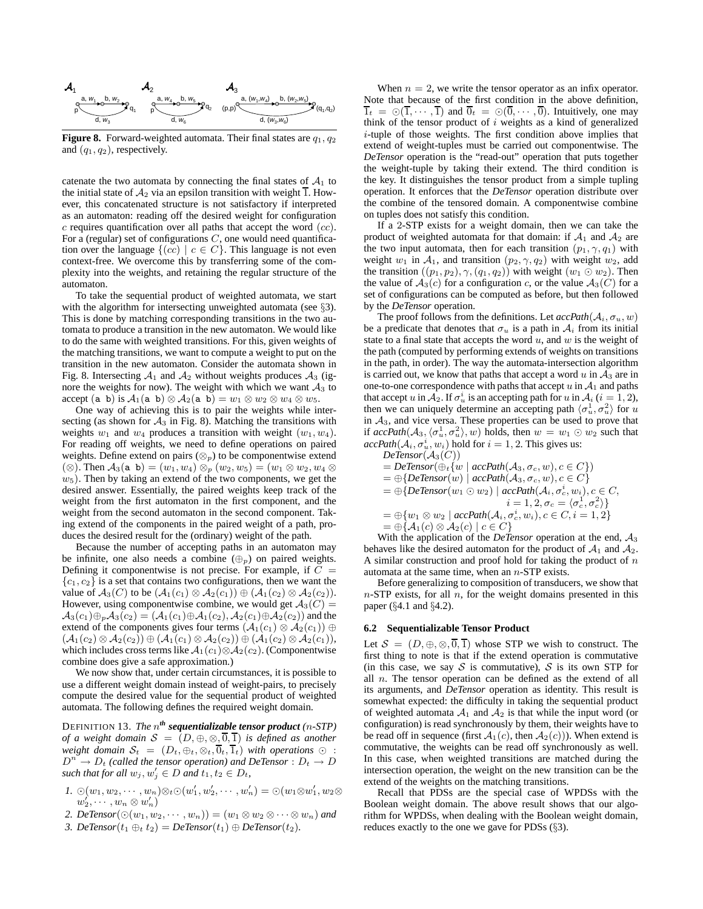

**Figure 8.** Forward-weighted automata. Their final states are  $q_1$ ,  $q_2$ and  $(q_1, q_2)$ , respectively.

catenate the two automata by connecting the final states of  $A_1$  to the initial state of  $A_2$  via an epsilon transition with weight 1. However, this concatenated structure is not satisfactory if interpreted as an automaton: reading off the desired weight for configuration  $c$  requires quantification over all paths that accept the word  $(cc)$ . For a (regular) set of configurations  $C$ , one would need quantification over the language  $\{(cc) | c \in C\}$ . This language is not even context-free. We overcome this by transferring some of the complexity into the weights, and retaining the regular structure of the automaton.

To take the sequential product of weighted automata, we start with the algorithm for intersecting unweighted automata (see §3). This is done by matching corresponding transitions in the two automata to produce a transition in the new automaton. We would like to do the same with weighted transitions. For this, given weights of the matching transitions, we want to compute a weight to put on the transition in the new automaton. Consider the automata shown in Fig. 8. Intersecting  $A_1$  and  $A_2$  without weights produces  $A_3$  (ignore the weights for now). The weight with which we want  $A_3$  to accept (a b) is  $A_1$ (a b)  $\otimes$   $A_2$ (a b) =  $w_1 \otimes w_2 \otimes w_4 \otimes w_5$ .

One way of achieving this is to pair the weights while intersecting (as shown for  $A_3$  in Fig. 8). Matching the transitions with weights  $w_1$  and  $w_4$  produces a transition with weight  $(w_1, w_4)$ . For reading off weights, we need to define operations on paired weights. Define extend on pairs  $(\otimes_p)$  to be componentwise extend  $(\otimes)$ . Then  $\mathcal{A}_3$ (a b) =  $(w_1, w_4) \otimes_p (w_2, w_5) = (w_1 \otimes w_2, w_4 \otimes$  $w_5$ ). Then by taking an extend of the two components, we get the desired answer. Essentially, the paired weights keep track of the weight from the first automaton in the first component, and the weight from the second automaton in the second component. Taking extend of the components in the paired weight of a path, produces the desired result for the (ordinary) weight of the path.

Because the number of accepting paths in an automaton may be infinite, one also needs a combine  $(\oplus_p)$  on paired weights. Defining it componentwise is not precise. For example, if  $C =$  ${c_1, c_2}$  is a set that contains two configurations, then we want the value of  $A_3(C)$  to be  $(A_1(c_1) \otimes A_2(c_1)) \oplus (A_1(c_2) \otimes A_2(c_2)).$ However, using componentwise combine, we would get  $A_3(C)$  =  $\mathcal{A}_3(c_1) \oplus_p \mathcal{A}_3(c_2) = (\mathcal{A}_1(c_1) \oplus \mathcal{A}_1(c_2), \mathcal{A}_2(c_1) \oplus \mathcal{A}_2(c_2))$  and the extend of the components gives four terms  $(\mathcal{A}_1(c_1) \otimes \mathcal{A}_2(c_1)) \oplus$  $(\mathcal{A}_1(c_2) \otimes \mathcal{A}_2(c_2)) \oplus (\mathcal{A}_1(c_1) \otimes \mathcal{A}_2(c_2)) \oplus (\mathcal{A}_1(c_2) \otimes \mathcal{A}_2(c_1)),$ which includes cross terms like  $A_1(c_1) \otimes A_2(c_2)$ . (Componentwise combine does give a safe approximation.)

We now show that, under certain circumstances, it is possible to use a different weight domain instead of weight-pairs, to precisely compute the desired value for the sequential product of weighted automata. The following defines the required weight domain.

DEFINITION 13. *The* n *th sequentializable tensor product (*n*-STP) of a weight domain*  $S = (D, \oplus, \otimes, \overline{0}, \overline{1})$  *is defined as another weight domain*  $S_t = (D_t, \oplus_t, \otimes_t, \overline{0}_t, \overline{1}_t)$  *with operations*  $\odot$  :  $D^n \to D_t$  (called the tensor operation) and DeTensor :  $D_t \to D_t$ *such that for all*  $w_j, w'_j \in D$  *and*  $t_1, t_2 \in D_t$ *,* 

- *1.*  $\odot$   $(w_1, w_2, \cdots, w_n) \otimes_t \odot$   $(w'_1, w'_2, \cdots, w'_n) = \odot$   $(w_1 \otimes w'_1, w_2 \otimes$  $w_2', \cdots, w_n \otimes w_n')$
- 2. DeTensor $(\bigcirc(w_1, w_2, \cdots, w_n)) = (w_1 \otimes w_2 \otimes \cdots \otimes w_n)$  and
- 3. DeTensor $(t_1 \oplus_t t_2) = DeTensor(t_1) \oplus DeTensor(t_2)$ .

When  $n = 2$ , we write the tensor operator as an infix operator. Note that because of the first condition in the above definition,  $\overline{1}_t = \odot(\overline{1}, \cdots, \overline{1})$  and  $\overline{0}_t = \odot(\overline{0}, \cdots, \overline{0})$ . Intuitively, one may think of the tensor product of  $i$  weights as a kind of generalized i-tuple of those weights. The first condition above implies that extend of weight-tuples must be carried out componentwise. The *DeTensor* operation is the "read-out" operation that puts together the weight-tuple by taking their extend. The third condition is the key. It distinguishes the tensor product from a simple tupling operation. It enforces that the *DeTensor* operation distribute over the combine of the tensored domain. A componentwise combine on tuples does not satisfy this condition.

If a 2-STP exists for a weight domain, then we can take the product of weighted automata for that domain: if  $A_1$  and  $A_2$  are the two input automata, then for each transition  $(p_1, \gamma, q_1)$  with weight  $w_1$  in  $A_1$ , and transition  $(p_2, \gamma, q_2)$  with weight  $w_2$ , add the transition  $((p_1, p_2), \gamma, (q_1, q_2))$  with weight  $(w_1 \odot w_2)$ . Then the value of  $A_3(c)$  for a configuration c, or the value  $A_3(C)$  for a set of configurations can be computed as before, but then followed by the *DeTensor* operation.

The proof follows from the definitions. Let  $accPath(A_i, \sigma_u, w)$ be a predicate that denotes that  $\sigma_u$  is a path in  $\mathcal{A}_i$  from its initial state to a final state that accepts the word  $u$ , and  $w$  is the weight of the path (computed by performing extends of weights on transitions in the path, in order). The way the automata-intersection algorithm is carried out, we know that paths that accept a word  $u$  in  $A_3$  are in one-to-one correspondence with paths that accept  $u$  in  $A_1$  and paths that accept u in  $\mathcal{A}_2$ . If  $\sigma_u^i$  is an accepting path for u in  $\mathcal{A}_i$  ( $i = 1, 2$ ), then we can uniquely determine an accepting path  $\langle \sigma_u^1, \sigma_u^2 \rangle$  for u in  $A_3$ , and vice versa. These properties can be used to prove that if  $accPath(A_3, \langle \sigma_u^1, \sigma_u^2 \rangle, w)$  holds, then  $w = w_1 \odot w_2$  such that  $\operatorname{accPath}(\mathcal{A}_i, \sigma_u^i, w_i)$  hold for  $i = 1, 2$ . This gives us:

$$
DeTensor(\mathcal{A}_3(C))
$$
  
= DeTensor( $\bigoplus_i \{w \mid accPath(\mathcal{A}_3, \sigma_c, w), c \in C\}$ )  
=  $\bigoplus \{DeTensor(w) \mid accPath(\mathcal{A}_3, \sigma_c, w), c \in C\}$   
=  $\bigoplus \{DeTensor(w_1 \odot w_2) \mid accPath(\mathcal{A}_i, \sigma_c^i, w_i), c \in C, i = 1, 2, \sigma_c = \langle \sigma_c^1, \sigma_c^2 \rangle\}$   
=  $\bigoplus \{w_1 \otimes w_2 \mid accPath(\mathcal{A}_i, \sigma_c^i, w_i), c \in C, i = 1, 2\}$   
=  $\bigoplus \{A_1(c) \otimes A_2(c) \mid c \in C\}$ 

With the application of the *DeTensor* operation at the end,  $A_3$ behaves like the desired automaton for the product of  $A_1$  and  $A_2$ . A similar construction and proof hold for taking the product of  $n$ automata at the same time, when an  $n$ -STP exists.

Before generalizing to composition of transducers, we show that  $n$ -STP exists, for all  $n$ , for the weight domains presented in this paper (§4.1 and §4.2).

#### **6.2 Sequentializable Tensor Product**

Let  $S = (D, \oplus, \otimes, \overline{0}, \overline{1})$  whose STP we wish to construct. The first thing to note is that if the extend operation is commutative (in this case, we say  $S$  is commutative),  $S$  is its own STP for all  $n$ . The tensor operation can be defined as the extend of all its arguments, and *DeTensor* operation as identity. This result is somewhat expected: the difficulty in taking the sequential product of weighted automata  $A_1$  and  $A_2$  is that while the input word (or configuration) is read synchronously by them, their weights have to be read off in sequence (first  $A_1(c)$ , then  $A_2(c)$ )). When extend is commutative, the weights can be read off synchronously as well. In this case, when weighted transitions are matched during the intersection operation, the weight on the new transition can be the extend of the weights on the matching transitions.

Recall that PDSs are the special case of WPDSs with the Boolean weight domain. The above result shows that our algorithm for WPDSs, when dealing with the Boolean weight domain, reduces exactly to the one we gave for PDSs (§3).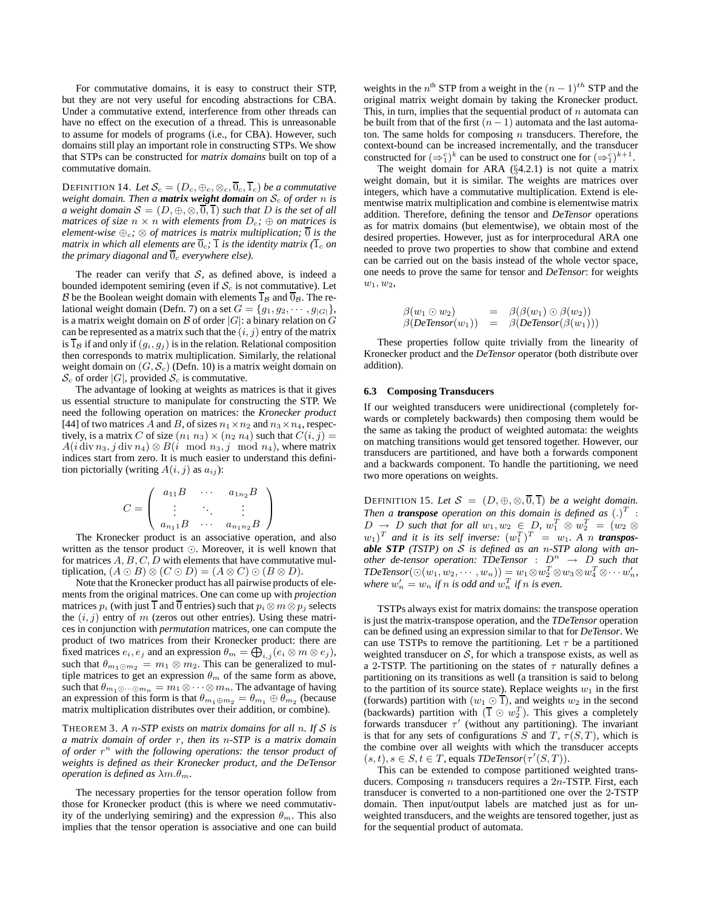For commutative domains, it is easy to construct their STP, but they are not very useful for encoding abstractions for CBA. Under a commutative extend, interference from other threads can have no effect on the execution of a thread. This is unreasonable to assume for models of programs (i.e., for CBA). However, such domains still play an important role in constructing STPs. We show that STPs can be constructed for *matrix domains* built on top of a commutative domain.

DEFINITION 14. Let  $S_c = (D_c, \oplus_c, \otimes_c, \overline{0}_c, \overline{1}_c)$  *be a commutative weight domain. Then a matrix weight domain on*  $S_c$  *of order n is a* weight domain  $S = (D, \oplus, \otimes, \overline{0}, \overline{1})$  *such that* D *is the set of all matrices of size*  $n \times n$  *with elements from*  $D_c$ ;  $\oplus$  *on matrices is element-wise*  $\bigoplus_c$ ;  $\otimes$  *of matrices is matrix multiplication*;  $\overline{0}$  *is the matrix in which all elements are*  $\overline{0}_c$ ;  $\overline{1}$  *is the identity matrix*  $(\overline{1}_c$  *on the primary diagonal and*  $\overline{0}_c$  *everywhere else*).

The reader can verify that  $S$ , as defined above, is indeed a bounded idempotent semiring (even if  $S_c$  is not commutative). Let B be the Boolean weight domain with elements  $\overline{1}_B$  and  $\overline{0}_B$ . The relational weight domain (Defn. 7) on a set  $G = \{g_1, g_2, \dots, g_{|G|}\},$ is a matrix weight domain on  $\mathcal B$  of order  $|G|$ : a binary relation on  $G$ can be represented as a matrix such that the  $(i, j)$  entry of the matrix is  $\overline{1}_\mathcal{B}$  if and only if  $(g_i, g_j)$  is in the relation. Relational composition then corresponds to matrix multiplication. Similarly, the relational weight domain on  $(G, S_c)$  (Defn. 10) is a matrix weight domain on  $\mathcal{S}_c$  of order |G|, provided  $\mathcal{S}_c$  is commutative.

The advantage of looking at weights as matrices is that it gives us essential structure to manipulate for constructing the STP. We need the following operation on matrices: the *Kronecker product* [44] of two matrices A and B, of sizes  $n_1 \times n_2$  and  $n_3 \times n_4$ , respectively, is a matrix C of size  $(n_1 n_3) \times (n_2 n_4)$  such that  $C(i, j)$  =  $A(i \, \text{div} \, n_3, j \, \text{div} \, n_4) \otimes B(i \mod n_3, j \mod n_4)$ , where matrix indices start from zero. It is much easier to understand this definition pictorially (writing  $A(i, j)$  as  $a_{ij}$ ):

$$
C = \left( \begin{array}{ccc} a_{11}B & \cdots & a_{1n_2}B \\ \vdots & \ddots & \vdots \\ a_{n_11}B & \cdots & a_{n_1n_2}B \end{array} \right)
$$

The Kronecker product is an associative operation, and also written as the tensor product ⊙. Moreover, it is well known that for matrices  $A, B, C, D$  with elements that have commutative multiplication,  $(A \odot B) \otimes (C \odot D) = (A \otimes C) \odot (B \otimes D)$ .

Note that the Kronecker product has all pairwise products of elements from the original matrices. One can come up with *projection* matrices  $p_i$  (with just  $\overline{1}$  and  $\overline{0}$  entries) such that  $p_i \otimes m \otimes p_j$  selects the  $(i, j)$  entry of m (zeros out other entries). Using these matrices in conjunction with *permutation* matrices, one can compute the product of two matrices from their Kronecker product: there are fixed matrices  $e_i, e_j$  and an expression  $\theta_m = \bigoplus_{i,j} (e_i \otimes m \otimes e_j)$ , such that  $\theta_{m_1 \odot m_2} = m_1 \otimes m_2$ . This can be generalized to multiple matrices to get an expression  $\theta_m$  of the same form as above, such that  $\theta_{m_1 \odot \cdots \odot m_n} = m_1 \otimes \cdots \otimes m_n$ . The advantage of having an expression of this form is that  $\theta_{m_1\oplus m_2} = \theta_{m_1} \oplus \theta_{m_2}$  (because matrix multiplication distributes over their addition, or combine).

THEOREM 3. *A* n*-STP exists on matrix domains for all* n*. If* S *is a matrix domain of order* r*, then its* n*-STP is a matrix domain of order* r <sup>n</sup> *with the following operations: the tensor product of weights is defined as their Kronecker product, and the DeTensor operation is defined as*  $\lambda m.\theta_m$ *.* 

The necessary properties for the tensor operation follow from those for Kronecker product (this is where we need commutativity of the underlying semiring) and the expression  $\theta_m$ . This also implies that the tensor operation is associative and one can build

weights in the  $n^{\text{th}}$  STP from a weight in the  $(n-1)^{th}$  STP and the original matrix weight domain by taking the Kronecker product. This, in turn, implies that the sequential product of  $n$  automata can be built from that of the first  $(n - 1)$  automata and the last automaton. The same holds for composing  $n$  transducers. Therefore, the context-bound can be increased incrementally, and the transducer constructed for  $(\Rightarrow_1^c)^k$  can be used to construct one for  $(\Rightarrow_1^c)^{k+1}$ .

The weight domain for ARA (§4.2.1) is not quite a matrix weight domain, but it is similar. The weights are matrices over integers, which have a commutative multiplication. Extend is elementwise matrix multiplication and combine is elementwise matrix addition. Therefore, defining the tensor and *DeTensor* operations as for matrix domains (but elementwise), we obtain most of the desired properties. However, just as for interprocedural ARA one needed to prove two properties to show that combine and extend can be carried out on the basis instead of the whole vector space, one needs to prove the same for tensor and *DeTensor*: for weights  $w_1, w_2,$ 

$$
\begin{array}{rcl}\n\beta(w_1 \odot w_2) & = & \beta(\beta(w_1) \odot \beta(w_2)) \\
\beta(\text{DeTensor}(w_1)) & = & \beta(\text{DeTensor}(\beta(w_1)))\n\end{array}
$$

These properties follow quite trivially from the linearity of Kronecker product and the *DeTensor* operator (both distribute over addition).

#### **6.3 Composing Transducers**

If our weighted transducers were unidirectional (completely forwards or completely backwards) then composing them would be the same as taking the product of weighted automata: the weights on matching transitions would get tensored together. However, our transducers are partitioned, and have both a forwards component and a backwards component. To handle the partitioning, we need two more operations on weights.

DEFINITION 15. Let  $S = (D, \oplus, \otimes, \overline{0}, \overline{1})$  *be a weight domain.* Then a **transpose** operation on this domain is defined as  $(.)^T$  :  $D \rightarrow D$  such that for all  $w_1, w_2 \in D$ ,  $w_1^T \otimes w_2^T = (w_2 \otimes$  $(w_1)^T$  and it is its self inverse:  $(w_1^T)^T = w_1$ . A n **transpos***able STP (TSTP) on* S *is defined as an* n*-STP along with another de-tensor operation: TDeTensor* :  $D^n \rightarrow D$  *such that*  $\mathit{TDeTensor}(\bigcirc(w_1, w_2, \cdots, w_n)) = w_1 \otimes w_2^T \otimes w_3 \otimes w_4^T \otimes \cdots w_n',$ where  $w'_n = w_n$  if n is odd and  $w_n^T$  if n is even.

TSTPs always exist for matrix domains: the transpose operation is just the matrix-transpose operation, and the *TDeTensor* operation can be defined using an expression similar to that for *DeTensor*. We can use TSTPs to remove the partitioning. Let  $\tau$  be a partitioned weighted transducer on  $S$ , for which a transpose exists, as well as a 2-TSTP. The partitioning on the states of  $\tau$  naturally defines a partitioning on its transitions as well (a transition is said to belong to the partition of its source state). Replace weights  $w_1$  in the first (forwards) partition with  $(w_1 \odot \overline{1})$ , and weights  $w_2$  in the second (backwards) partition with  $(\overline{1} \odot w_2^T)$ . This gives a completely forwards transducer  $\tau'$  (without any partitioning). The invariant is that for any sets of configurations S and T,  $\tau(S,T)$ , which is the combine over all weights with which the transducer accepts  $(s, t), s \in S, t \in T$ , equals  $TDeTensor(\tau'(S, T)).$ 

This can be extended to compose partitioned weighted transducers. Composing  $n$  transducers requires a  $2n$ -TSTP. First, each transducer is converted to a non-partitioned one over the 2-TSTP domain. Then input/output labels are matched just as for unweighted transducers, and the weights are tensored together, just as for the sequential product of automata.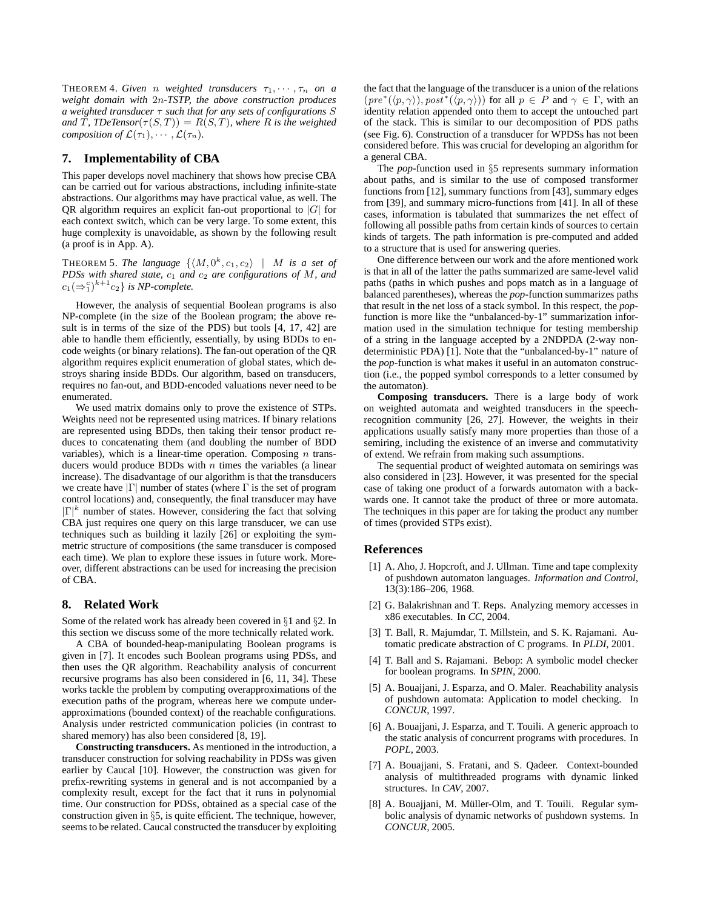**THEOREM 4. Given** *n weighted transducers*  $\tau_1, \dots, \tau_n$  *on a weight domain with* 2n*-TSTP, the above construction produces a weighted transducer* τ *such that for any sets of configurations* S *and*  $\overline{T}$ *, TDeTensor*( $\tau(S,T)$ ) =  $R(S,T)$ *, where* R *is the weighted composition of*  $\mathcal{L}(\tau_1), \cdots, \mathcal{L}(\tau_n)$ .

# **7. Implementability of CBA**

This paper develops novel machinery that shows how precise CBA can be carried out for various abstractions, including infinite-state abstractions. Our algorithms may have practical value, as well. The QR algorithm requires an explicit fan-out proportional to  $|G|$  for each context switch, which can be very large. To some extent, this huge complexity is unavoidable, as shown by the following result (a proof is in App. A).

**THEOREM 5.** The language  $\{ \langle M, 0^k, c_1, c_2 \rangle \mid M \text{ is a set of }$ *PDSs with shared state,*  $c_1$  *and*  $c_2$  *are configurations of* M, *and*  $c_1(\Rightarrow_1^c)^{k+1}c_2$  *is NP-complete.* 

However, the analysis of sequential Boolean programs is also NP-complete (in the size of the Boolean program; the above result is in terms of the size of the PDS) but tools [4, 17, 42] are able to handle them efficiently, essentially, by using BDDs to encode weights (or binary relations). The fan-out operation of the QR algorithm requires explicit enumeration of global states, which destroys sharing inside BDDs. Our algorithm, based on transducers, requires no fan-out, and BDD-encoded valuations never need to be enumerated.

We used matrix domains only to prove the existence of STPs. Weights need not be represented using matrices. If binary relations are represented using BDDs, then taking their tensor product reduces to concatenating them (and doubling the number of BDD variables), which is a linear-time operation. Composing  $n$  transducers would produce BDDs with  $n$  times the variables (a linear increase). The disadvantage of our algorithm is that the transducers we create have  $|\Gamma|$  number of states (where  $\Gamma$  is the set of program control locations) and, consequently, the final transducer may have  $|\Gamma|^k$  number of states. However, considering the fact that solving CBA just requires one query on this large transducer, we can use techniques such as building it lazily [26] or exploiting the symmetric structure of compositions (the same transducer is composed each time). We plan to explore these issues in future work. Moreover, different abstractions can be used for increasing the precision of CBA.

# **8. Related Work**

Some of the related work has already been covered in §1 and §2. In this section we discuss some of the more technically related work.

A CBA of bounded-heap-manipulating Boolean programs is given in [7]. It encodes such Boolean programs using PDSs, and then uses the QR algorithm. Reachability analysis of concurrent recursive programs has also been considered in [6, 11, 34]. These works tackle the problem by computing overapproximations of the execution paths of the program, whereas here we compute underapproximations (bounded context) of the reachable configurations. Analysis under restricted communication policies (in contrast to shared memory) has also been considered [8, 19].

**Constructing transducers.** As mentioned in the introduction, a transducer construction for solving reachability in PDSs was given earlier by Caucal [10]. However, the construction was given for prefix-rewriting systems in general and is not accompanied by a complexity result, except for the fact that it runs in polynomial time. Our construction for PDSs, obtained as a special case of the construction given in §5, is quite efficient. The technique, however, seems to be related. Caucal constructed the transducer by exploiting the fact that the language of the transducer is a union of the relations  $(pre^*(\langle p,\gamma\rangle), post^*(\langle p,\gamma\rangle))$  for all  $p \in P$  and  $\gamma \in \Gamma$ , with an identity relation appended onto them to accept the untouched part of the stack. This is similar to our decomposition of PDS paths (see Fig. 6). Construction of a transducer for WPDSs has not been considered before. This was crucial for developing an algorithm for a general CBA.

The *pop*-function used in §5 represents summary information about paths, and is similar to the use of composed transformer functions from [12], summary functions from [43], summary edges from [39], and summary micro-functions from [41]. In all of these cases, information is tabulated that summarizes the net effect of following all possible paths from certain kinds of sources to certain kinds of targets. The path information is pre-computed and added to a structure that is used for answering queries.

One difference between our work and the afore mentioned work is that in all of the latter the paths summarized are same-level valid paths (paths in which pushes and pops match as in a language of balanced parentheses), whereas the *pop*-function summarizes paths that result in the net loss of a stack symbol. In this respect, the *pop*function is more like the "unbalanced-by-1" summarization information used in the simulation technique for testing membership of a string in the language accepted by a 2NDPDA (2-way nondeterministic PDA) [1]. Note that the "unbalanced-by-1" nature of the *pop*-function is what makes it useful in an automaton construction (i.e., the popped symbol corresponds to a letter consumed by the automaton).

**Composing transducers.** There is a large body of work on weighted automata and weighted transducers in the speechrecognition community [26, 27]. However, the weights in their applications usually satisfy many more properties than those of a semiring, including the existence of an inverse and commutativity of extend. We refrain from making such assumptions.

The sequential product of weighted automata on semirings was also considered in [23]. However, it was presented for the special case of taking one product of a forwards automaton with a backwards one. It cannot take the product of three or more automata. The techniques in this paper are for taking the product any number of times (provided STPs exist).

# **References**

- [1] A. Aho, J. Hopcroft, and J. Ullman. Time and tape complexity of pushdown automaton languages. *Information and Control*, 13(3):186–206, 1968.
- [2] G. Balakrishnan and T. Reps. Analyzing memory accesses in x86 executables. In *CC*, 2004.
- [3] T. Ball, R. Majumdar, T. Millstein, and S. K. Rajamani. Automatic predicate abstraction of C programs. In *PLDI*, 2001.
- [4] T. Ball and S. Rajamani. Bebop: A symbolic model checker for boolean programs. In *SPIN*, 2000.
- [5] A. Bouajjani, J. Esparza, and O. Maler. Reachability analysis of pushdown automata: Application to model checking. In *CONCUR*, 1997.
- [6] A. Bouajjani, J. Esparza, and T. Touili. A generic approach to the static analysis of concurrent programs with procedures. In *POPL*, 2003.
- [7] A. Bouajjani, S. Fratani, and S. Qadeer. Context-bounded analysis of multithreaded programs with dynamic linked structures. In *CAV*, 2007.
- [8] A. Bouajjani, M. Müller-Olm, and T. Touili. Regular symbolic analysis of dynamic networks of pushdown systems. In *CONCUR*, 2005.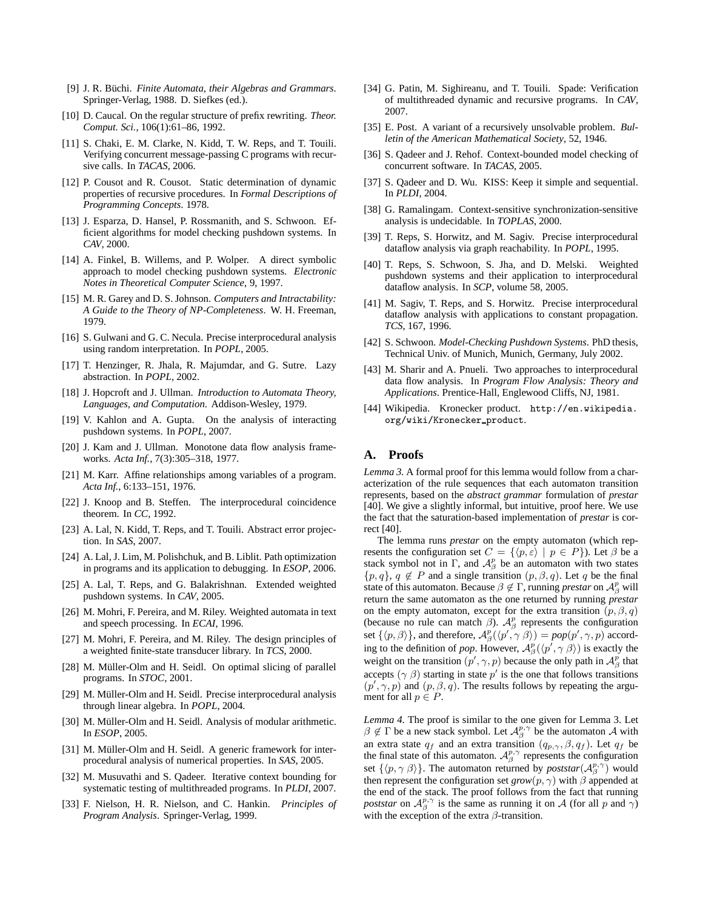- [9] J. R. Büchi. *Finite Automata, their Algebras and Grammars*. Springer-Verlag, 1988. D. Siefkes (ed.).
- [10] D. Caucal. On the regular structure of prefix rewriting. *Theor. Comput. Sci.*, 106(1):61–86, 1992.
- [11] S. Chaki, E. M. Clarke, N. Kidd, T. W. Reps, and T. Touili. Verifying concurrent message-passing C programs with recursive calls. In *TACAS*, 2006.
- [12] P. Cousot and R. Cousot. Static determination of dynamic properties of recursive procedures. In *Formal Descriptions of Programming Concepts*. 1978.
- [13] J. Esparza, D. Hansel, P. Rossmanith, and S. Schwoon. Efficient algorithms for model checking pushdown systems. In *CAV*, 2000.
- [14] A. Finkel, B. Willems, and P. Wolper. A direct symbolic approach to model checking pushdown systems. *Electronic Notes in Theoretical Computer Science*, 9, 1997.
- [15] M. R. Garey and D. S. Johnson. *Computers and Intractability: A Guide to the Theory of NP-Completeness*. W. H. Freeman, 1979.
- [16] S. Gulwani and G. C. Necula. Precise interprocedural analysis using random interpretation. In *POPL*, 2005.
- [17] T. Henzinger, R. Jhala, R. Majumdar, and G. Sutre. Lazy abstraction. In *POPL*, 2002.
- [18] J. Hopcroft and J. Ullman. *Introduction to Automata Theory, Languages, and Computation*. Addison-Wesley, 1979.
- [19] V. Kahlon and A. Gupta. On the analysis of interacting pushdown systems. In *POPL*, 2007.
- [20] J. Kam and J. Ullman. Monotone data flow analysis frameworks. *Acta Inf.*, 7(3):305–318, 1977.
- [21] M. Karr. Affine relationships among variables of a program. *Acta Inf.*, 6:133–151, 1976.
- [22] J. Knoop and B. Steffen. The interprocedural coincidence theorem. In *CC*, 1992.
- [23] A. Lal, N. Kidd, T. Reps, and T. Touili. Abstract error projection. In *SAS*, 2007.
- [24] A. Lal, J. Lim, M. Polishchuk, and B. Liblit. Path optimization in programs and its application to debugging. In *ESOP*, 2006.
- [25] A. Lal, T. Reps, and G. Balakrishnan. Extended weighted pushdown systems. In *CAV*, 2005.
- [26] M. Mohri, F. Pereira, and M. Riley. Weighted automata in text and speech processing. In *ECAI*, 1996.
- [27] M. Mohri, F. Pereira, and M. Riley. The design principles of a weighted finite-state transducer library. In *TCS*, 2000.
- [28] M. Müller-Olm and H. Seidl. On optimal slicing of parallel programs. In *STOC*, 2001.
- [29] M. Müller-Olm and H. Seidl. Precise interprocedural analysis through linear algebra. In *POPL*, 2004.
- [30] M. Müller-Olm and H. Seidl. Analysis of modular arithmetic. In *ESOP*, 2005.
- [31] M. Müller-Olm and H. Seidl. A generic framework for interprocedural analysis of numerical properties. In *SAS*, 2005.
- [32] M. Musuvathi and S. Qadeer. Iterative context bounding for systematic testing of multithreaded programs. In *PLDI*, 2007.
- [33] F. Nielson, H. R. Nielson, and C. Hankin. *Principles of Program Analysis*. Springer-Verlag, 1999.
- [34] G. Patin, M. Sighireanu, and T. Touili. Spade: Verification of multithreaded dynamic and recursive programs. In *CAV*, 2007.
- [35] E. Post. A variant of a recursively unsolvable problem. *Bulletin of the American Mathematical Society*, 52, 1946.
- [36] S. Qadeer and J. Rehof. Context-bounded model checking of concurrent software. In *TACAS*, 2005.
- [37] S. Qadeer and D. Wu. KISS: Keep it simple and sequential. In *PLDI*, 2004.
- [38] G. Ramalingam. Context-sensitive synchronization-sensitive analysis is undecidable. In *TOPLAS*, 2000.
- [39] T. Reps, S. Horwitz, and M. Sagiv. Precise interprocedural dataflow analysis via graph reachability. In *POPL*, 1995.
- [40] T. Reps, S. Schwoon, S. Jha, and D. Melski. Weighted pushdown systems and their application to interprocedural dataflow analysis. In *SCP*, volume 58, 2005.
- [41] M. Sagiv, T. Reps, and S. Horwitz. Precise interprocedural dataflow analysis with applications to constant propagation. *TCS*, 167, 1996.
- [42] S. Schwoon. *Model-Checking Pushdown Systems*. PhD thesis, Technical Univ. of Munich, Munich, Germany, July 2002.
- [43] M. Sharir and A. Pnueli. Two approaches to interprocedural data flow analysis. In *Program Flow Analysis: Theory and Applications*. Prentice-Hall, Englewood Cliffs, NJ, 1981.
- [44] Wikipedia. Kronecker product. http://en.wikipedia. org/wiki/Kronecker product.

# **A. Proofs**

*Lemma 3.* A formal proof for this lemma would follow from a characterization of the rule sequences that each automaton transition represents, based on the *abstract grammar* formulation of *prestar* [40]. We give a slightly informal, but intuitive, proof here. We use the fact that the saturation-based implementation of *prestar* is correct [40].

The lemma runs *prestar* on the empty automaton (which represents the configuration set  $C = \{ \langle p, \varepsilon \rangle \mid p \in P \}$ ). Let  $\beta$  be a stack symbol not in Γ, and  $\mathcal{A}_{\beta}^{p}$  be an automaton with two states  $\{p, q\}, q \notin P$  and a single transition  $(p, \beta, q)$ . Let q be the final state of this automaton. Because  $\beta \notin \Gamma$ , running *prestar* on  $\mathcal{A}_{\beta}^p$  will return the same automaton as the one returned by running *prestar* on the empty automaton, except for the extra transition  $(p, \beta, q)$ (because no rule can match  $\beta$ ).  $\mathcal{A}_{\beta}^{p}$  represents the configuration set  $\{\langle p, \beta \rangle\}$ , and therefore,  $\mathcal{A}_{\beta}^{p}(\langle p', \gamma, \beta \rangle) = pop(p', \gamma, p)$  according to the definition of *pop*. However,  $\mathcal{A}_{\beta}^{p}(\langle p', \gamma \beta \rangle)$  is exactly the weight on the transition  $(p', \gamma, p)$  because the only path in  $\mathcal{A}_{\beta}^p$  that accepts  $(\gamma \beta)$  starting in state  $p'$  is the one that follows transitions  $(p', \gamma, p)$  and  $(p, \beta, q)$ . The results follows by repeating the argument for all  $p \in P$ .

*Lemma 4.* The proof is similar to the one given for Lemma 3. Let  $\beta \notin \Gamma$  be a new stack symbol. Let  $\mathcal{A}_{\beta}^{p,\gamma}$  be the automaton  $\mathcal A$  with an extra state  $q_f$  and an extra transition  $(q_{p,\gamma}, \beta, q_f)$ . Let  $q_f$  be the final state of this automaton.  $\mathcal{A}_{\beta}^{p,\gamma}$  represents the configuration set  $\{\langle p, \gamma \beta \rangle\}$ . The automaton returned by *poststar*( $\mathcal{A}_{\beta}^{p,\gamma}$ ) would then represent the configuration set  $\text{grow}(p, \gamma)$  with  $\beta$  appended at the end of the stack. The proof follows from the fact that running *poststar* on  $\mathcal{A}_{\beta}^{p,\gamma}$  is the same as running it on A (for all p and  $\gamma$ ) with the exception of the extra  $\beta$ -transition.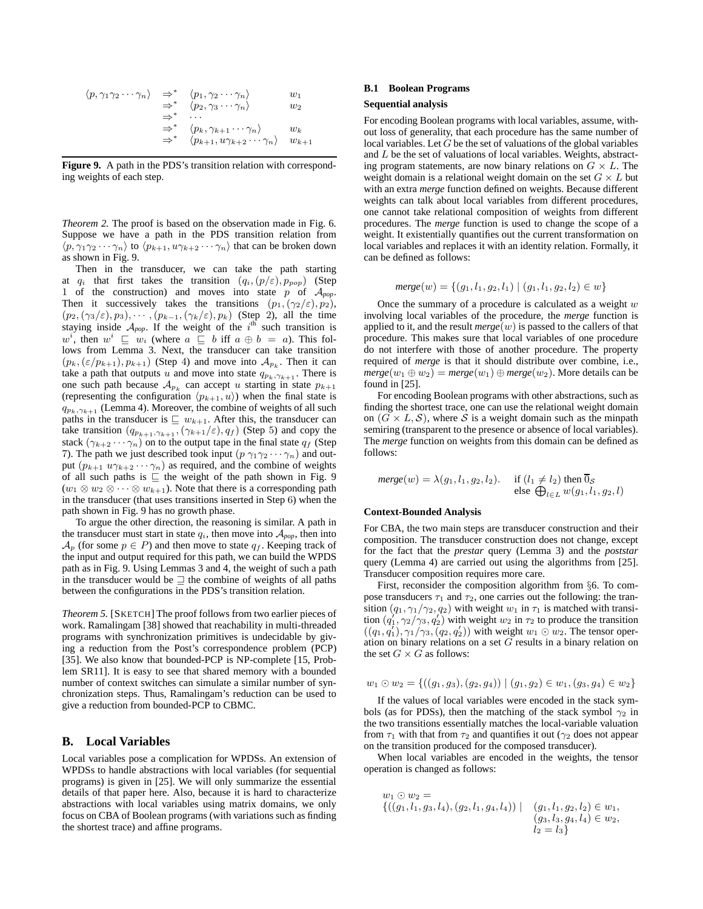$$
\langle p, \gamma_1 \gamma_2 \cdots \gamma_n \rangle \Rightarrow^* \langle p_1, \gamma_2 \cdots \gamma_n \rangle \newline \Rightarrow^* \langle p_2, \gamma_3 \cdots \gamma_n \rangle \newline \Rightarrow^* \cdots \newline \Rightarrow^* \langle p_k, \gamma_{k+1} \cdots \gamma_n \rangle \newline \Rightarrow^* \langle p_{k+1}, u \gamma_{k+2} \cdots \gamma_n \rangle \newline w_k \newline \Rightarrow^* \langle p_{k+1}, u \gamma_{k+2} \cdots \gamma_n \rangle \newline w_{k+1}
$$

**Figure 9.** A path in the PDS's transition relation with corresponding weights of each step.

*Theorem 2.* The proof is based on the observation made in Fig. 6. Suppose we have a path in the PDS transition relation from  $\langle p, \gamma_1 \gamma_2 \cdots \gamma_n \rangle$  to  $\langle p_{k+1}, u \gamma_{k+2} \cdots \gamma_n \rangle$  that can be broken down as shown in Fig. 9.

Then in the transducer, we can take the path starting at  $q_i$  that first takes the transition  $(q_i, (p/\varepsilon), p_{pop})$  (Step 1 of the construction) and moves into state p of A*pop*. Then it successively takes the transitions  $(p_1, (\gamma_2/\varepsilon), p_2)$ ,  $(p_2, (\gamma_3/\varepsilon), p_3), \cdots, (p_{k-1}, (\gamma_k/\varepsilon), p_k)$  (Step 2), all the time staying inside  $A_{pop}$ . If the weight of the i<sup>th</sup> such transition is w<sup>i</sup>, then  $w^i \sqsubseteq w_i$  (where  $a \sqsubseteq b$  iff  $a \oplus b = a$ ). This follows from Lemma 3. Next, the transducer can take transition  $(p_k, (\varepsilon/p_{k+1}), p_{k+1})$  (Step 4) and move into  $\mathcal{A}_{p_k}$ . Then it can take a path that outputs u and move into state  $q_{p_k,\gamma_{k+1}}$ . There is one such path because  $A_{p_k}$  can accept u starting in state  $p_{k+1}$ (representing the configuration  $\langle p_{k+1}, u \rangle$ ) when the final state is  $q_{p_k,\gamma_{k+1}}$  (Lemma 4). Moreover, the combine of weights of all such paths in the transducer is  $\subseteq w_{k+1}$ . After this, the transducer can take transition  $(q_{p_{k+1},\gamma_{k+1}}, (\gamma_{k+1}/\varepsilon), q_f)$  (Step 5) and copy the stack  $(\gamma_{k+2} \cdots \gamma_n)$  on to the output tape in the final state  $q_f$  (Step 7). The path we just described took input  $(p \gamma_1 \gamma_2 \cdots \gamma_n)$  and output  $(p_{k+1} u \gamma_{k+2} \cdots \gamma_n)$  as required, and the combine of weights of all such paths is ⊑ the weight of the path shown in Fig. 9  $(w_1 \otimes w_2 \otimes \cdots \otimes w_{k+1})$ . Note that there is a corresponding path in the transducer (that uses transitions inserted in Step 6) when the path shown in Fig. 9 has no growth phase.

To argue the other direction, the reasoning is similar. A path in the transducer must start in state  $q_i$ , then move into  $A_{pop}$ , then into  $\mathcal{A}_p$  (for some  $p \in P$ ) and then move to state  $q_f$ . Keeping track of the input and output required for this path, we can build the WPDS path as in Fig. 9. Using Lemmas 3 and 4, the weight of such a path in the transducer would be ⊒ the combine of weights of all paths between the configurations in the PDS's transition relation.

*Theorem 5.* [SKETCH] The proof follows from two earlier pieces of work. Ramalingam [38] showed that reachability in multi-threaded programs with synchronization primitives is undecidable by giving a reduction from the Post's correspondence problem (PCP) [35]. We also know that bounded-PCP is NP-complete [15, Problem SR11]. It is easy to see that shared memory with a bounded number of context switches can simulate a similar number of synchronization steps. Thus, Ramalingam's reduction can be used to give a reduction from bounded-PCP to CBMC.

## **B. Local Variables**

Local variables pose a complication for WPDSs. An extension of WPDSs to handle abstractions with local variables (for sequential programs) is given in [25]. We will only summarize the essential details of that paper here. Also, because it is hard to characterize abstractions with local variables using matrix domains, we only focus on CBA of Boolean programs (with variations such as finding the shortest trace) and affine programs.

#### **B.1 Boolean Programs**

#### **Sequential analysis**

For encoding Boolean programs with local variables, assume, without loss of generality, that each procedure has the same number of local variables. Let  $G$  be the set of valuations of the global variables and L be the set of valuations of local variables. Weights, abstracting program statements, are now binary relations on  $G \times L$ . The weight domain is a relational weight domain on the set  $G \times L$  but with an extra *merge* function defined on weights. Because different weights can talk about local variables from different procedures, one cannot take relational composition of weights from different procedures. The *merge* function is used to change the scope of a weight. It existentially quantifies out the current transformation on local variables and replaces it with an identity relation. Formally, it can be defined as follows:

$$
merge(w) = \{(g_1, l_1, g_2, l_1) \mid (g_1, l_1, g_2, l_2) \in w\}
$$

Once the summary of a procedure is calculated as a weight  $w$ involving local variables of the procedure, the *merge* function is applied to it, and the result  $merge(w)$  is passed to the callers of that procedure. This makes sure that local variables of one procedure do not interfere with those of another procedure. The property required of *merge* is that it should distribute over combine, i.e.,  $merge(w_1 \oplus w_2) = merge(w_1) \oplus merge(w_2)$ . More details can be found in [25].

For encoding Boolean programs with other abstractions, such as finding the shortest trace, one can use the relational weight domain on  $(G \times L, S)$ , where S is a weight domain such as the minpath semiring (transparent to the presence or absence of local variables). The *merge* function on weights from this domain can be defined as follows:

$$
merge(w) = \lambda(g_1, l_1, g_2, l_2). \quad \text{if } (l_1 \neq l_2) \text{ then } \overline{0}_S
$$
  
else  $\bigoplus_{l \in L} w(g_1, l_1, g_2, l)$ 

# **Context-Bounded Analysis**

For CBA, the two main steps are transducer construction and their composition. The transducer construction does not change, except for the fact that the *prestar* query (Lemma 3) and the *poststar* query (Lemma 4) are carried out using the algorithms from [25]. Transducer composition requires more care.

First, reconsider the composition algorithm from §6. To compose transducers  $\tau_1$  and  $\tau_2$ , one carries out the following: the transition  $(q_1, \gamma_1/\gamma_2, q_2)$  with weight  $w_1$  in  $\tau_1$  is matched with transition  $(q_1', \gamma_2/\gamma_3, q_2')$  with weight  $w_2$  in  $\tau_2$  to produce the transition  $((q_1, q'_1), \gamma_1/\gamma_3, (q_2, q'_2))$  with weight  $w_1 \odot w_2$ . The tensor operation on binary relations on a set  $G$  results in a binary relation on the set  $G \times G$  as follows:

$$
w_1 \odot w_2 = \{((g_1, g_3), (g_2, g_4)) \mid (g_1, g_2) \in w_1, (g_3, g_4) \in w_2\}
$$

If the values of local variables were encoded in the stack symbols (as for PDSs), then the matching of the stack symbol  $\gamma_2$  in the two transitions essentially matches the local-variable valuation from  $\tau_1$  with that from  $\tau_2$  and quantifies it out ( $\gamma_2$  does not appear on the transition produced for the composed transducer).

When local variables are encoded in the weights, the tensor operation is changed as follows:

$$
w_1 \odot w_2 = \{((g_1, l_1, g_3, l_4), (g_2, l_1, g_4, l_4)) \mid (g_1, l_1, g_2, l_2) \in w_1, (g_3, l_3, g_4, l_4) \in w_2, l_2 = l_3\}
$$